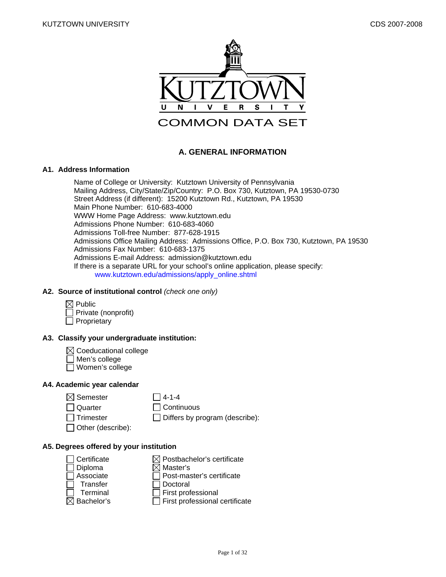

# **A. GENERAL INFORMATION**

#### **A1. Address Information**

Name of College or University: Kutztown University of Pennsylvania Mailing Address, City/State/Zip/Country: P.O. Box 730, Kutztown, PA 19530-0730 Street Address (if different): 15200 Kutztown Rd., Kutztown, PA 19530 Main Phone Number: 610-683-4000 WWW Home Page Address: www.kutztown.edu Admissions Phone Number: 610-683-4060 Admissions Toll-free Number: 877-628-1915 Admissions Office Mailing Address: Admissions Office, P.O. Box 730, Kutztown, PA 19530 Admissions Fax Number: 610-683-1375 Admissions E-mail Address: admission@kutztown.edu If there is a separate URL for your school's online application, please specify: www.kutztown.edu/admissions/apply\_online.shtml

### **A2. Source of institutional control** *(check one only)*

| $\boxtimes$ Public         |
|----------------------------|
| $\Box$ Private (nonprofit) |
| $\Box$ Proprietary         |

# **A3. Classify your undergraduate institution:**

- $\boxtimes$  Coeducational college
- Men's college
- Women's college

# **A4. Academic year calendar**

- $\boxtimes$  Semester  $\Box$  4-1-4
	-
- □ Quarter □ Continuous

 $\Box$  Trimester  $\Box$  Differs by program (describe):

 $\Box$  Other (describe):

# **A5. Degrees offered by your institution**

 $\Box$  Certificate  $\boxtimes$  Postbachelor's certificate  $\Box$  Diploma  $\boxtimes$  Master's  $\Box$  Associate  $\Box$  Post-master's certificate Transfer □ Doctoral  $\Box$  Terminal  $\Box$  First professional  $\boxtimes$  Bachelor's  $\Box$  First professional  $\Box$  First professional certificate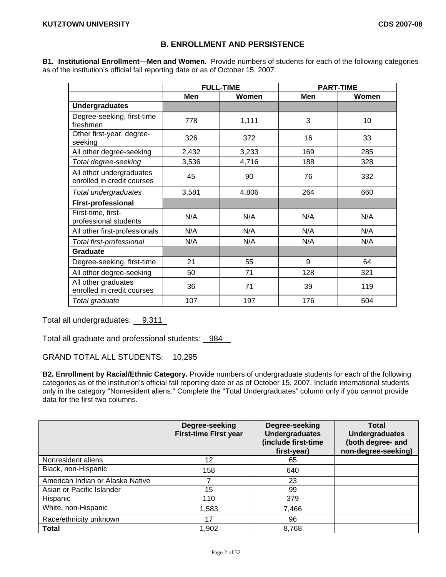# **B. ENROLLMENT AND PERSISTENCE**

**B1. Institutional Enrollment—Men and Women.** Provide numbers of students for each of the following categories as of the institution's official fall reporting date or as of October 15, 2007.

|                                                        |       | <b>FULL-TIME</b> |     | <b>PART-TIME</b> |
|--------------------------------------------------------|-------|------------------|-----|------------------|
|                                                        | Men   | Women            | Men | Women            |
| <b>Undergraduates</b>                                  |       |                  |     |                  |
| Degree-seeking, first-time<br>freshmen                 | 778   | 1,111            | 3   | 10               |
| Other first-year, degree-<br>seeking                   | 326   | 372              | 16  | 33               |
| All other degree-seeking                               | 2,432 | 3,233            | 169 | 285              |
| Total degree-seeking                                   | 3,536 | 4,716            | 188 | 328              |
| All other undergraduates<br>enrolled in credit courses | 45    | 90               | 76  | 332              |
| Total undergraduates                                   | 3,581 | 4,806            | 264 | 660              |
| <b>First-professional</b>                              |       |                  |     |                  |
| First-time, first-<br>professional students            | N/A   | N/A              | N/A | N/A              |
| All other first-professionals                          | N/A   | N/A              | N/A | N/A              |
| Total first-professional                               | N/A   | N/A              | N/A | N/A              |
| <b>Graduate</b>                                        |       |                  |     |                  |
| Degree-seeking, first-time                             | 21    | 55               | 9   | 64               |
| All other degree-seeking                               | 50    | 71               | 128 | 321              |
| All other graduates<br>enrolled in credit courses      | 36    | 71               | 39  | 119              |
| Total graduate                                         | 107   | 197              | 176 | 504              |

Total all undergraduates: 9,311

Total all graduate and professional students: 984

GRAND TOTAL ALL STUDENTS: 10,295

**B2. Enrollment by Racial/Ethnic Category.** Provide numbers of undergraduate students for each of the following categories as of the institution's official fall reporting date or as of October 15, 2007. Include international students only in the category "Nonresident aliens." Complete the "Total Undergraduates" column only if you cannot provide data for the first two columns.

|                                  | Degree-seeking<br><b>First-time First year</b> | Degree-seeking<br><b>Undergraduates</b><br>(include first-time<br>first-year) | <b>Total</b><br><b>Undergraduates</b><br>(both degree- and<br>non-degree-seeking) |
|----------------------------------|------------------------------------------------|-------------------------------------------------------------------------------|-----------------------------------------------------------------------------------|
| Nonresident aliens               | 12                                             | 65                                                                            |                                                                                   |
| Black, non-Hispanic              | 158                                            | 640                                                                           |                                                                                   |
| American Indian or Alaska Native |                                                | 23                                                                            |                                                                                   |
| Asian or Pacific Islander        | 15                                             | 99                                                                            |                                                                                   |
| Hispanic                         | 110                                            | 379                                                                           |                                                                                   |
| White, non-Hispanic              | 1,583                                          | 7,466                                                                         |                                                                                   |
| Race/ethnicity unknown           | 17                                             | 96                                                                            |                                                                                   |
| Total                            | 1,902                                          | 8,768                                                                         |                                                                                   |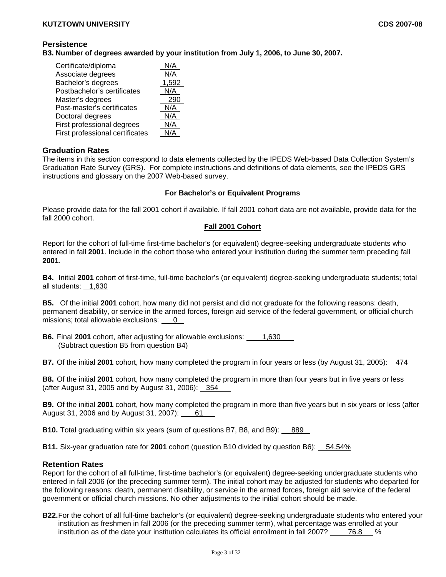# **Persistence**

**B3. Number of degrees awarded by your institution from July 1, 2006, to June 30, 2007.** 

| Certificate/diploma             | N/A   |
|---------------------------------|-------|
| Associate degrees               | N/A   |
| Bachelor's degrees              | 1,592 |
| Postbachelor's certificates     | N/A   |
| Master's degrees                | 290   |
| Post-master's certificates      | N/A   |
| Doctoral degrees                | N/A   |
| First professional degrees      | N/A   |
| First professional certificates | N/A   |

# **Graduation Rates**

The items in this section correspond to data elements collected by the IPEDS Web-based Data Collection System's Graduation Rate Survey (GRS). For complete instructions and definitions of data elements, see the IPEDS GRS instructions and glossary on the 2007 Web-based survey.

### **For Bachelor's or Equivalent Programs**

Please provide data for the fall 2001 cohort if available. If fall 2001 cohort data are not available, provide data for the fall 2000 cohort.

### **Fall 2001 Cohort**

Report for the cohort of full-time first-time bachelor's (or equivalent) degree-seeking undergraduate students who entered in fall **2001**. Include in the cohort those who entered your institution during the summer term preceding fall **2001**.

**B4.** Initial **2001** cohort of first-time, full-time bachelor's (or equivalent) degree-seeking undergraduate students; total all students: 1,630

**B5.** Of the initial **2001** cohort, how many did not persist and did not graduate for the following reasons: death, permanent disability, or service in the armed forces, foreign aid service of the federal government, or official church missions; total allowable exclusions: 0

**B6.** Final 2001 cohort, after adjusting for allowable exclusions: 1,630 (Subtract question B5 from question B4)

**B7.** Of the initial **2001** cohort, how many completed the program in four years or less (by August 31, 2005): 474

**B8.** Of the initial **2001** cohort, how many completed the program in more than four years but in five years or less (after August 31, 2005 and by August 31, 2006): 354

**B9.** Of the initial **2001** cohort, how many completed the program in more than five years but in six years or less (after August 31, 2006 and by August 31, 2007): 61

**B10.** Total graduating within six years (sum of questions B7, B8, and B9): 889

**B11.** Six-year graduation rate for 2001 cohort (question B10 divided by question B6): 54.54%

# **Retention Rates**

Report for the cohort of all full-time, first-time bachelor's (or equivalent) degree-seeking undergraduate students who entered in fall 2006 (or the preceding summer term). The initial cohort may be adjusted for students who departed for the following reasons: death, permanent disability, or service in the armed forces, foreign aid service of the federal government or official church missions. No other adjustments to the initial cohort should be made.

**B22.** For the cohort of all full-time bachelor's (or equivalent) degree-seeking undergraduate students who entered your institution as freshmen in fall 2006 (or the preceding summer term), what percentage was enrolled at your institution as of the date your institution calculates its official enrollment in fall 2007? 76.8 %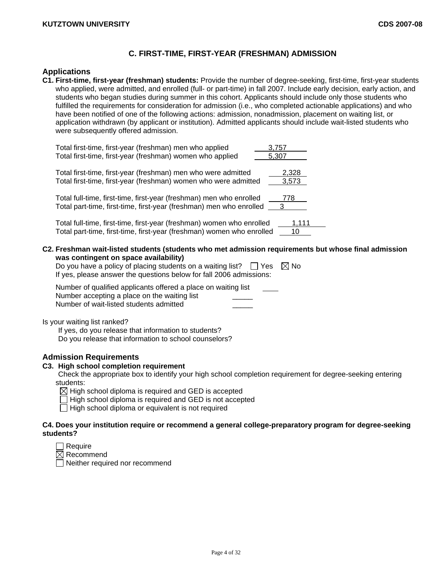# **C. FIRST-TIME, FIRST-YEAR (FRESHMAN) ADMISSION**

# **Applications**

**C1. First-time, first-year (freshman) students:** Provide the number of degree-seeking, first-time, first-year students who applied, were admitted, and enrolled (full- or part-time) in fall 2007. Include early decision, early action, and students who began studies during summer in this cohort. Applicants should include only those students who fulfilled the requirements for consideration for admission (i.e., who completed actionable applications) and who have been notified of one of the following actions: admission, nonadmission, placement on waiting list, or application withdrawn (by applicant or institution). Admitted applicants should include wait-listed students who were subsequently offered admission.

| Total first-time, first-year (freshman) men who applied             | 3.757                   |
|---------------------------------------------------------------------|-------------------------|
| Total first-time, first-year (freshman) women who applied           | 5.307                   |
| Total first-time, first-year (freshman) men who were admitted       | 2,328                   |
| Total first-time, first-year (freshman) women who were admitted     | 3.573                   |
| Total full-time, first-time, first-year (freshman) men who enrolled | 778                     |
| Total part-time, first-time, first-year (freshman) men who enrolled | $\overline{\mathbf{3}}$ |

Total full-time, first-time, first-year (freshman) women who enrolled 1,111 Total part-time, first-time, first-year (freshman) women who enrolled 10

**C2. Freshman wait-listed students (students who met admission requirements but whose final admission was contingent on space availability)** 

| Do you have a policy of placing students on a waiting list? $\Box$ Yes $\boxtimes$ No |  |
|---------------------------------------------------------------------------------------|--|
| If yes, please answer the questions below for fall 2006 admissions:                   |  |

| Number of qualified applicants offered a place on waiting list |  |
|----------------------------------------------------------------|--|
| Number accepting a place on the waiting list                   |  |
| Number of wait-listed students admitted                        |  |

Is your waiting list ranked?

If yes, do you release that information to students?

Do you release that information to school counselors?

## **Admission Requirements**

#### **C3. High school completion requirement**

Check the appropriate box to identify your high school completion requirement for degree-seeking entering students:

 $\boxtimes$  High school diploma is required and GED is accepted

 $\Box$  High school diploma is required and GED is not accepted

 $\Box$  High school diploma or equivalent is not required

### **C4. Does your institution require or recommend a general college-preparatory program for degree-seeking students?**

 $\boxtimes$  Recommend

Neither required nor recommend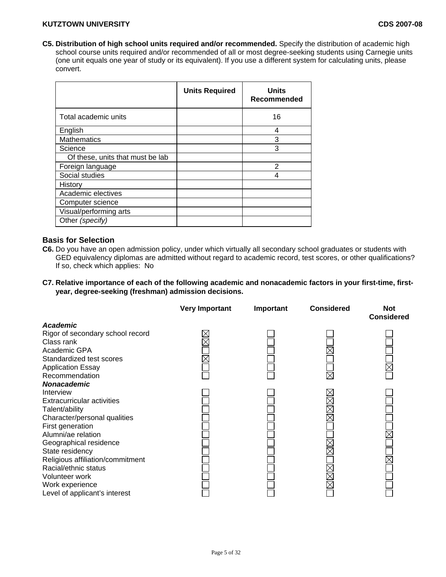**C5. Distribution of high school units required and/or recommended.** Specify the distribution of academic high school course units required and/or recommended of all or most degree-seeking students using Carnegie units (one unit equals one year of study or its equivalent). If you use a different system for calculating units, please convert.

|                                  | <b>Units Required</b> | <b>Units</b><br>Recommended |
|----------------------------------|-----------------------|-----------------------------|
| Total academic units             |                       | 16                          |
| English                          |                       | 4                           |
| <b>Mathematics</b>               |                       | 3                           |
| Science                          |                       | 3                           |
| Of these, units that must be lab |                       |                             |
| Foreign language                 |                       | $\overline{2}$              |
| Social studies                   |                       | 4                           |
| History                          |                       |                             |
| Academic electives               |                       |                             |
| Computer science                 |                       |                             |
| Visual/performing arts           |                       |                             |
| Other (specify)                  |                       |                             |

# **Basis for Selection**

- **C6.** Do you have an open admission policy, under which virtually all secondary school graduates or students with GED equivalency diplomas are admitted without regard to academic record, test scores, or other qualifications? If so, check which applies: No
- **C7. Relative importance of each of the following academic and nonacademic factors in your first-time, firstyear, degree-seeking (freshman) admission decisions.**

|                                   | <b>Very Important</b> | Important | <b>Considered</b> | <b>Not</b><br><b>Considered</b> |
|-----------------------------------|-----------------------|-----------|-------------------|---------------------------------|
| <b>Academic</b>                   |                       |           |                   |                                 |
| Rigor of secondary school record  |                       |           |                   |                                 |
| Class rank                        |                       |           |                   |                                 |
| Academic GPA                      |                       |           |                   |                                 |
| Standardized test scores          |                       |           |                   |                                 |
| <b>Application Essay</b>          |                       |           |                   |                                 |
| Recommendation                    |                       |           | $\times$          |                                 |
| <b>Nonacademic</b>                |                       |           |                   |                                 |
| Interview                         |                       |           |                   |                                 |
| <b>Extracurricular activities</b> |                       |           |                   |                                 |
| Talent/ability                    |                       |           |                   |                                 |
| Character/personal qualities      |                       |           |                   |                                 |
| First generation                  |                       |           |                   |                                 |
| Alumni/ae relation                |                       |           |                   |                                 |
| Geographical residence            |                       |           |                   |                                 |
| State residency                   |                       |           |                   |                                 |
| Religious affiliation/commitment  |                       |           |                   |                                 |
| Racial/ethnic status              |                       |           |                   |                                 |
| Volunteer work                    |                       |           |                   |                                 |
| Work experience                   |                       |           |                   |                                 |
| Level of applicant's interest     |                       |           |                   |                                 |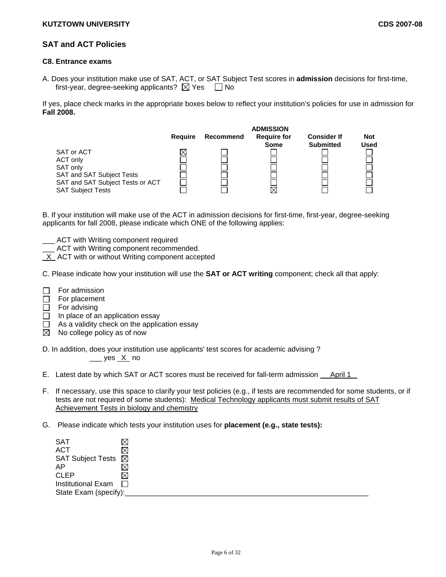# **SAT and ACT Policies**

### **C8. Entrance exams**

A. Does your institution make use of SAT, ACT, or SAT Subject Test scores in **admission** decisions for first-time, first-year, degree-seeking applicants?  $\boxtimes$  Yes  $\Box$  No

If yes, place check marks in the appropriate boxes below to reflect your institution's policies for use in admission for **Fall 2008.**



B. If your institution will make use of the ACT in admission decisions for first-time, first-year, degree-seeking applicants for fall 2008, please indicate which ONE of the following applies:

- ACT with Writing component required
- \_\_\_ ACT with Writing component recommended.
- X ACT with or without Writing component accepted

C. Please indicate how your institution will use the **SAT or ACT writing** component; check all that apply:

- For admission  $\Box$
- $\Box$  For placement
- $\Box$  For advising
- $\Box$  In place of an application essay
- As a validity check on the application essay  $\Box$
- $\boxtimes$  No college policy as of now

D. In addition, does your institution use applicants' test scores for academic advising ? \_\_\_ yes X no

E. Latest date by which SAT or ACT scores must be received for fall-term admission April 1

- F. If necessary, use this space to clarify your test policies (e.g., if tests are recommended for some students, or if tests are not required of some students): Medical Technology applicants must submit results of SAT Achievement Tests in biology and chemistry
- G. Please indicate which tests your institution uses for **placement (e.g., state tests):**

| SAT                           |    |
|-------------------------------|----|
| <b>ACT</b>                    | IХ |
| SAT Subject Tests $\boxtimes$ |    |
| AP                            |    |
| <b>CLEP</b>                   | ⋉  |
| Institutional Exam $\Box$     |    |
| State Exam (specify):         |    |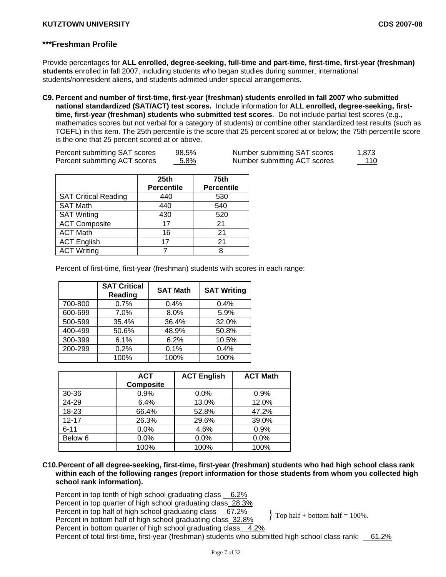# **\*\*\*Freshman Profile**

Provide percentages for **ALL enrolled, degree-seeking, full-time and part-time, first-time, first-year (freshman) students** enrolled in fall 2007, including students who began studies during summer, international students/nonresident aliens, and students admitted under special arrangements.

**C9. Percent and number of first-time, first-year (freshman) students enrolled in fall 2007 who submitted national standardized (SAT/ACT) test scores.** Include information for **ALL enrolled, degree-seeking, firsttime, first-year (freshman) students who submitted test scores**. Do not include partial test scores (e.g., mathematics scores but not verbal for a category of students) or combine other standardized test results (such as TOEFL) in this item. The 25th percentile is the score that 25 percent scored at or below; the 75th percentile score is the one that 25 percent scored at or above.

| Percent submitting SAT scores | <u>98.5%</u> | Number submitting SAT scores | <u>1,873</u> |
|-------------------------------|--------------|------------------------------|--------------|
| Percent submitting ACT scores | 5.8%         | Number submitting ACT scores | 110          |

|                             | 25 <sub>th</sub><br><b>Percentile</b> | <b>75th</b><br><b>Percentile</b> |
|-----------------------------|---------------------------------------|----------------------------------|
| <b>SAT Critical Reading</b> | 440                                   | 530                              |
| <b>SAT Math</b>             | 440                                   | 540                              |
| <b>SAT Writing</b>          | 430                                   | 520                              |
| <b>ACT Composite</b>        | 17                                    | 21                               |
| <b>ACT Math</b>             | 16                                    | 21                               |
| <b>ACT English</b>          | 17                                    | 21                               |
| <b>ACT Writing</b>          |                                       |                                  |

Percent of first-time, first-year (freshman) students with scores in each range:

|         | <b>SAT Critical</b><br>Reading | <b>SAT Math</b> | <b>SAT Writing</b> |
|---------|--------------------------------|-----------------|--------------------|
| 700-800 | 0.7%                           | 0.4%            | 0.4%               |
| 600-699 | 7.0%                           | 8.0%            | 5.9%               |
| 500-599 | 35.4%                          | 36.4%           | 32.0%              |
| 400-499 | 50.6%                          | 48.9%           | 50.8%              |
| 300-399 | 6.1%                           | 6.2%            | 10.5%              |
| 200-299 | 0.2%                           | 0.1%            | 0.4%               |
|         | 100%                           | 100%            | 100%               |

|           | <b>ACT</b><br><b>Composite</b> | <b>ACT English</b> | <b>ACT Math</b> |
|-----------|--------------------------------|--------------------|-----------------|
| 30-36     | 0.9%                           | $0.0\%$            | 0.9%            |
| 24-29     | 6.4%                           | 13.0%              | 12.0%           |
| $18 - 23$ | 66.4%                          | 52.8%              | 47.2%           |
| $12 - 17$ | 26.3%                          | 29.6%              | 39.0%           |
| $6 - 11$  | 0.0%                           | 4.6%               | 0.9%            |
| Below 6   | 0.0%                           | 0.0%               | 0.0%            |
|           | 100%                           | 100%               | 100%            |

## **C10. Percent of all degree-seeking, first-time, first-year (freshman) students who had high school class rank within each of the following ranges (report information for those students from whom you collected high school rank information).**

 $\{$  Top half + bottom half = 100%.

Percent in top tenth of high school graduating class 6.2% Percent in top quarter of high school graduating class 28.3%

Percent in top half of high school graduating class 67.2%

Percent in bottom half of high school graduating class 32.8%

Percent in bottom quarter of high school graduating class 4.2%

Percent of total first-time, first-year (freshman) students who submitted high school class rank: 61.2%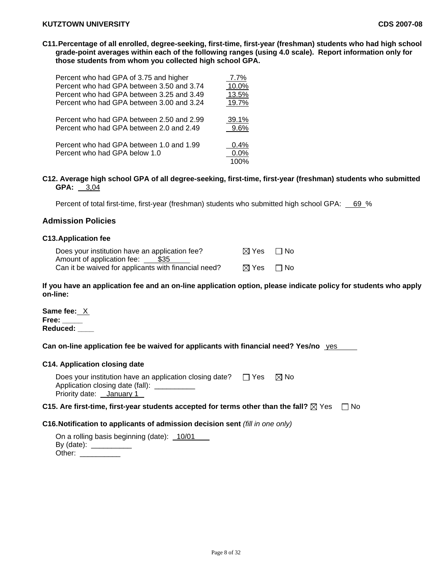**C11. Percentage of all enrolled, degree-seeking, first-time, first-year (freshman) students who had high school grade-point averages within each of the following ranges (using 4.0 scale). Report information only for those students from whom you collected high school GPA.** 

| Percent who had GPA of 3.75 and higher    | 7.7%    |
|-------------------------------------------|---------|
| Percent who had GPA between 3.50 and 3.74 | 10.0%   |
| Percent who had GPA between 3.25 and 3.49 | 13.5%   |
| Percent who had GPA between 3.00 and 3.24 | 19.7%   |
| Percent who had GPA between 2.50 and 2.99 | 39.1%   |
| Percent who had GPA between 2.0 and 2.49  | $9.6\%$ |
| Percent who had GPA between 1.0 and 1.99  | 0.4%    |
| Percent who had GPA below 1.0             | $0.0\%$ |
|                                           | 100%    |

**C12. Average high school GPA of all degree-seeking, first-time, first-year (freshman) students who submitted GPA:** 3,04

Percent of total first-time, first-year (freshman) students who submitted high school GPA: 69 %

# **Admission Policies**

## **C13.Application fee**

| Does your institution have an application fee?       | ⊠ Yes | $\Box$ No |
|------------------------------------------------------|-------|-----------|
| Amount of application fee: \$35                      |       |           |
| Can it be waived for applicants with financial need? | ⊠ Yes | $\Box$ No |

**If you have an application fee and an on-line application option, please indicate policy for students who apply on-line:** 

**Same fee:** X **Free: \_\_\_\_\_ Reduced: \_\_\_\_** 

**Can on-line application fee be waived for applicants with financial need? Yes/no** yes

#### **C14. Application closing date**

| Does your institution have an application closing date? | ⊟ Yes | ⊠ No |  |
|---------------------------------------------------------|-------|------|--|
| Application closing date (fall): ___                    |       |      |  |
| Priority date: January 1                                |       |      |  |

## **C15. Are first-time, first-year students accepted for terms other than the fall?**  $\boxtimes$  Yes  $\Box$  No

#### **C16.Notification to applicants of admission decision sent** *(fill in one only)*

| On a rolling basis beginning (date): 10/01 |  |
|--------------------------------------------|--|
| By (date):                                 |  |
| Other:                                     |  |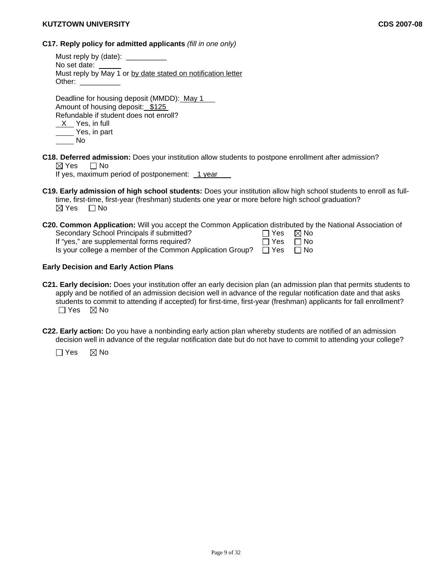# **C17. Reply policy for admitted applicants** *(fill in one only)*

Must reply by (date): No set date: Must reply by May 1 or by date stated on notification letter Other:

Deadline for housing deposit (MMDD): May 1 Amount of housing deposit: \$125 Refundable if student does not enroll?  $X$  Yes, in full Yes, in part No

**C18. Deferred admission:** Does your institution allow students to postpone enrollment after admission?  $\boxtimes$  Yes  $\Box$  No

If yes, maximum period of postponement: 1 year

**C19. Early admission of high school students:** Does your institution allow high school students to enroll as fulltime, first-time, first-year (freshman) students one year or more before high school graduation?  $\boxtimes$  Yes  $\Box$  No

| C20. Common Application: Will you accept the Common Application distributed by the National Association of |            |           |
|------------------------------------------------------------------------------------------------------------|------------|-----------|
| Secondary School Principals if submitted?                                                                  | □ Yes ⊠ No |           |
| If "yes," are supplemental forms required?                                                                 | $\Box$ Yes | $\Box$ No |
| Is your college a member of the Common Application Group?                                                  | ⊟ Yes      | . ⊟ No    |

## **Early Decision and Early Action Plans**

- **C21. Early decision:** Does your institution offer an early decision plan (an admission plan that permits students to apply and be notified of an admission decision well in advance of the regular notification date and that asks students to commit to attending if accepted) for first-time, first-year (freshman) applicants for fall enrollment?  $\Box$  Yes  $\boxtimes$  No
- **C22. Early action:** Do you have a nonbinding early action plan whereby students are notified of an admission decision well in advance of the regular notification date but do not have to commit to attending your college?

 $\Box$  Yes  $\boxtimes$  No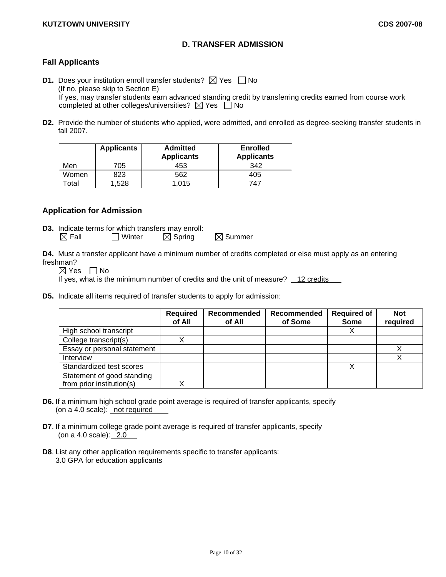# **D. TRANSFER ADMISSION**

# **Fall Applicants**

- **D1.** Does your institution enroll transfer students?  $\boxtimes$  Yes  $\Box$  No (If no, please skip to Section E) If yes, may transfer students earn advanced standing credit by transferring credits earned from course work completed at other colleges/universities?  $\boxtimes$  Yes  $\Box$  No
- **D2.** Provide the number of students who applied, were admitted, and enrolled as degree-seeking transfer students in fall 2007.

|       | <b>Applicants</b> | <b>Admitted</b><br><b>Applicants</b> | <b>Enrolled</b><br><b>Applicants</b> |
|-------|-------------------|--------------------------------------|--------------------------------------|
| Men   | 705               | 453                                  | 342                                  |
| Women | 823               | 562                                  | 405                                  |
| otal  | .528              | l.015                                | 747                                  |

# **Application for Admission**

**D3.** Indicate terms for which transfers may enroll:<br>  $\boxtimes$  Fall  $\Box$  Winter  $\boxtimes$  Spring  $\Box$  Winter  $\boxtimes$  Spring  $\boxtimes$  Summer

**D4.** Must a transfer applicant have a minimum number of credits completed or else must apply as an entering freshman?

 $\boxtimes$  Yes  $\Box$  No

If yes, what is the minimum number of credits and the unit of measure? 12 credits

**D5.** Indicate all items required of transfer students to apply for admission:

|                             | <b>Required</b><br>of All | Recommended<br>of All | Recommended<br>of Some | <b>Required of</b><br><b>Some</b> | <b>Not</b><br>required |
|-----------------------------|---------------------------|-----------------------|------------------------|-----------------------------------|------------------------|
| High school transcript      |                           |                       |                        |                                   |                        |
| College transcript(s)       |                           |                       |                        |                                   |                        |
| Essay or personal statement |                           |                       |                        |                                   |                        |
| Interview                   |                           |                       |                        |                                   |                        |
| Standardized test scores    |                           |                       |                        |                                   |                        |
| Statement of good standing  |                           |                       |                        |                                   |                        |
| from prior institution(s)   |                           |                       |                        |                                   |                        |

- **D6.** If a minimum high school grade point average is required of transfer applicants, specify (on a 4.0 scale): not required
- **D7**. If a minimum college grade point average is required of transfer applicants, specify (on a 4.0 scale): 2.0
- **D8**. List any other application requirements specific to transfer applicants: 3.0 GPA for education applicants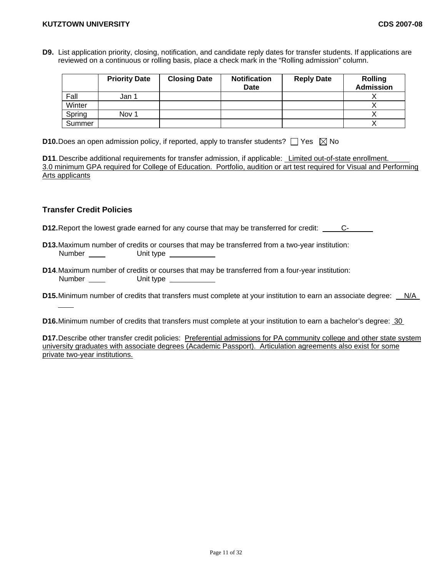**D9.** List application priority, closing, notification, and candidate reply dates for transfer students. If applications are reviewed on a continuous or rolling basis, place a check mark in the "Rolling admission" column.

|        | <b>Priority Date</b> | <b>Closing Date</b> | <b>Notification</b><br>Date | <b>Reply Date</b> | <b>Rolling</b><br><b>Admission</b> |
|--------|----------------------|---------------------|-----------------------------|-------------------|------------------------------------|
| Fall   | Jan 1                |                     |                             |                   |                                    |
| Winter |                      |                     |                             |                   |                                    |
| Spring | Nov 1                |                     |                             |                   |                                    |
| Summer |                      |                     |                             |                   |                                    |

**D10.** Does an open admission policy, if reported, apply to transfer students?  $\Box$  Yes  $\boxtimes$  No

**D11**. Describe additional requirements for transfer admission, if applicable: Limited out-of-state enrollment. 3.0 minimum GPA required for College of Education. Portfolio, audition or art test required for Visual and Performing Arts applicants

# **Transfer Credit Policies**

**D12.** Report the lowest grade earned for any course that may be transferred for credit: C-

- **D13.** Maximum number of credits or courses that may be transferred from a two-year institution: Number Unit type
- **D14**. Maximum number of credits or courses that may be transferred from a four-year institution: Number Unit type
- **D15.** Minimum number of credits that transfers must complete at your institution to earn an associate degree: N/A

**D16.** Minimum number of credits that transfers must complete at your institution to earn a bachelor's degree: 30

**D17.** Describe other transfer credit policies: Preferential admissions for PA community college and other state system university graduates with associate degrees (Academic Passport). Articulation agreements also exist for some private two-year institutions.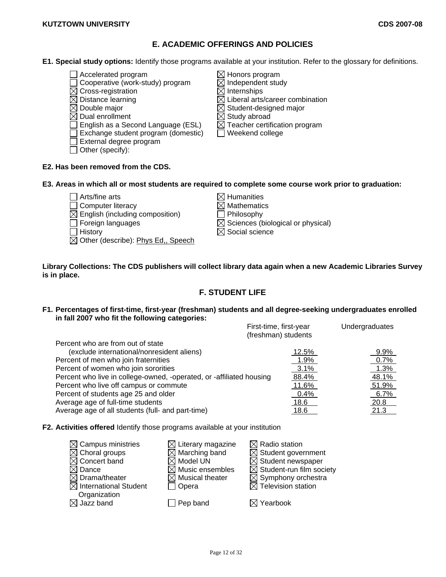# **E. ACADEMIC OFFERINGS AND POLICIES**

- **E1. Special study options:** Identify those programs available at your institution. Refer to the glossary for definitions.
	- $\Box$  Accelerated program  $\boxtimes$  Honors program
	- $\Box$  Cooperative (work-study) program  $\boxtimes$  Independent study
	- $\boxtimes$  Cross-registration  $\boxtimes$  Internships  $\boxtimes$  Distance learning  $\boxtimes$   $\boxtimes$  Liberal arts
	-
	-
	-
	- $\Box$  English as a Second Language (ESL)  $\Box$  Teacher certification program
	- $\Box$  Exchange student program (domestic)  $\Box$  Weekend college
	- External degree program
	- Other (specify):
- 
- $\boxtimes$  Distance learning  $\boxtimes$  Liberal arts/career combination  $\boxtimes$  Double major Double major  $\boxtimes$  Student-designed major Dual enrollment  $\boxtimes$  Study abroad
	-
	-
- **E2. Has been removed from the CDS.**
- **E3. Areas in which all or most students are required to complete some course work prior to graduation:** 
	- $\Box$  Arts/fine arts  $\boxtimes$  Humanities  $\Box$  Computer literacy  $\boxtimes$  Mathematics
	-
	- $\boxtimes$  English (including composition)  $\qquad \qquad \square$  Philosophy<br> $\Box$  Foreign languages  $\qquad \boxtimes$  Sciences (b
	-

 $\boxtimes$  Other (describe): Phys Ed., Speech

 $\boxtimes$  Sciences (biological or physical)  $\Box$  History  $\boxtimes$  Social science

**Library Collections: The CDS publishers will collect library data again when a new Academic Libraries Survey is in place.** 

# **F. STUDENT LIFE**

**F1. Percentages of first-time, first-year (freshman) students and all degree-seeking undergraduates enrolled in fall 2007 who fit the following categories:** 

|                                                                      | First-time, first-year<br>(freshman) students | Undergraduates |
|----------------------------------------------------------------------|-----------------------------------------------|----------------|
| Percent who are from out of state                                    |                                               |                |
| (exclude international/nonresident aliens)                           | 12.5%                                         | 9.9%           |
| Percent of men who join fraternities                                 | 1.9%                                          | 0.7%           |
| Percent of women who join sororities                                 | $3.1\%$                                       | 1.3%           |
| Percent who live in college-owned, -operated, or -affiliated housing | 88.4%                                         | 48.1%          |
| Percent who live off campus or commute                               | 11.6%                                         | 51.9%          |
| Percent of students age 25 and older                                 | 0.4%                                          | 6.7%           |
| Average age of full-time students                                    | 18.6                                          | 20.8           |
| Average age of all students (full- and part-time)                    | 18.6                                          | 21.3           |

**F2. Activities offered** Identify those programs available at your institution

| $\boxtimes$ Campus ministries     | $\boxtimes$ Literary magazine | $\boxtimes$ Radio station            |
|-----------------------------------|-------------------------------|--------------------------------------|
| $\boxtimes$ Choral groups         | $\boxtimes$ Marching band     | $\boxtimes$ Student government       |
| $\boxtimes$ Concert band          | $\boxtimes$ Model UN          | $\boxtimes$ Student newspaper        |
| $\boxtimes$ Dance                 | $\boxtimes$ Music ensembles   | $\boxtimes$ Student-run film society |
| $\boxtimes$ Drama/theater         | $\boxtimes$ Musical theater   | $\boxtimes$ Symphony orchestra       |
| $\boxtimes$ International Student | 7 Opera                       | $\boxtimes$ Television station       |
| Organization                      |                               |                                      |
| $\boxtimes$ Jazz band             | Pep band                      | $\boxtimes$ Yearbook                 |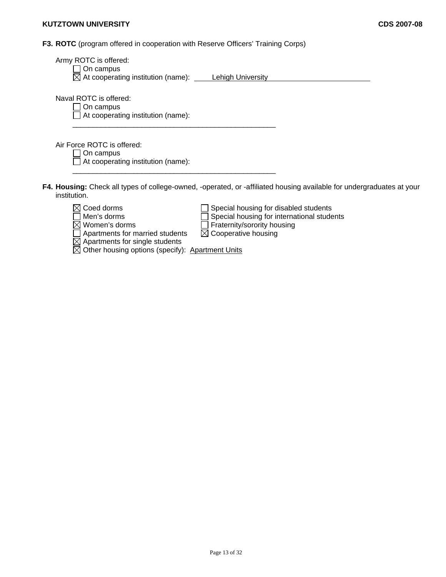**F3. ROTC** (program offered in cooperation with Reserve Officers' Training Corps)

| Army ROTC is offered:<br>On campus<br>$\boxtimes$ At cooperating institution (name): Lehigh University                                                                       |
|------------------------------------------------------------------------------------------------------------------------------------------------------------------------------|
| Naval ROTC is offered:<br>On campus<br>At cooperating institution (name):                                                                                                    |
| Air Force ROTC is offered:<br>On campus<br>At cooperating institution (name):                                                                                                |
| F4. Housing: Check all types of college-owned, -operated, or -affiliated housing available for undergraduates at your<br>institution.                                        |
| $\boxtimes$ Coed dorms<br>Special housing for disabled students<br>Special housing for international students<br>Men's dorms<br>Fraternity/sorority housing<br>Women's dorms |

Women's dorms **Fraternity/sorority housing** Apartments for married students  $\boxtimes$  Cooperative housing

Apartments for single students

Other housing options (specify): Apartment Units

Page 13 of 32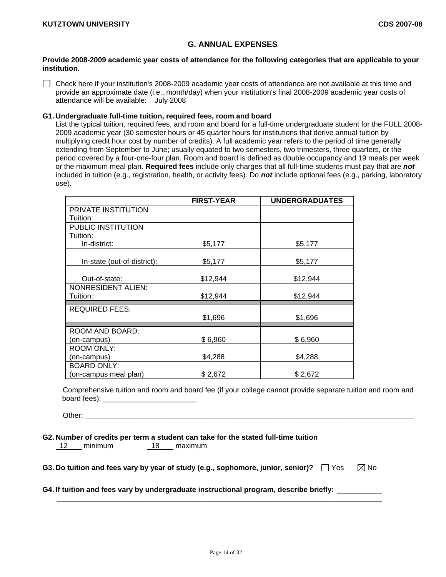# **G. ANNUAL EXPENSES**

## **Provide 2008-2009 academic year costs of attendance for the following categories that are applicable to your institution.**

 Check here if your institution's 2008-2009 academic year costs of attendance are not available at this time and provide an approximate date (i.e., month/day) when your institution's final 2008-2009 academic year costs of attendance will be available: July 2008

### **G1. Undergraduate full-time tuition, required fees, room and board**

List the typical tuition, required fees, and room and board for a full-time undergraduate student for the FULL 2008- 2009 academic year (30 semester hours or 45 quarter hours for institutions that derive annual tuition by multiplying credit hour cost by number of credits). A full academic year refers to the period of time generally extending from September to June; usually equated to two semesters, two trimesters, three quarters, or the period covered by a four-one-four plan. Room and board is defined as double occupancy and 19 meals per week or the maximum meal plan. **Required fees** include only charges that all full-time students must pay that are *not* included in tuition (e.g., registration, health, or activity fees). Do *not* include optional fees (e.g., parking, laboratory use).

|                             | <b>FIRST-YEAR</b> | <b>UNDERGRADUATES</b> |
|-----------------------------|-------------------|-----------------------|
| PRIVATE INSTITUTION         |                   |                       |
| Tuition:                    |                   |                       |
| PUBLIC INSTITUTION          |                   |                       |
| Tuition:                    |                   |                       |
| In-district:                | \$5,177           | \$5,177               |
|                             |                   |                       |
| In-state (out-of-district): | \$5,177           | \$5,177               |
| Out-of-state:               | \$12,944          | \$12,944              |
| <b>NONRESIDENT ALIEN:</b>   |                   |                       |
| Tuition:                    | \$12,944          | \$12,944              |
| <b>REQUIRED FEES:</b>       |                   |                       |
|                             | \$1,696           | \$1,696               |
| ROOM AND BOARD:             |                   |                       |
| (on-campus)                 | \$6,960           | \$6,960               |
| <b>ROOM ONLY:</b>           |                   |                       |
| on-campus)                  | \$4,288           | \$4,288               |
| <b>BOARD ONLY:</b>          |                   |                       |
| (on-campus meal plan)       | \$2,672           | \$2,672               |

Comprehensive tuition and room and board fee (if your college cannot provide separate tuition and room and board fees): \_\_\_\_\_\_\_\_\_\_\_\_\_\_\_\_\_\_\_\_\_\_\_

Other: \_\_\_\_\_\_\_\_\_\_\_\_\_\_\_\_\_\_\_\_\_\_\_\_\_\_\_\_\_\_\_\_\_\_\_\_\_\_\_\_\_\_\_\_\_\_\_\_\_\_\_\_\_\_\_\_\_\_\_\_\_\_\_\_\_\_\_\_\_\_\_\_\_\_\_\_\_\_\_\_\_

### **G2. Number of credits per term a student can take for the stated full-time tuition**

12 minimum 18 maximum

| G3. Do tuition and fees vary by year of study (e.g., sophomore, junior, senior)? $\Box$ Yes |  |  |  |  |  | $\boxtimes$ No |
|---------------------------------------------------------------------------------------------|--|--|--|--|--|----------------|
|---------------------------------------------------------------------------------------------|--|--|--|--|--|----------------|

 $\mathcal{L}_\text{max}$  , and the contribution of the contribution of the contribution of the contribution of the contribution of the contribution of the contribution of the contribution of the contribution of the contribution of t

## **G4. If tuition and fees vary by undergraduate instructional program, describe briefly:** \_\_\_\_\_\_\_\_\_\_\_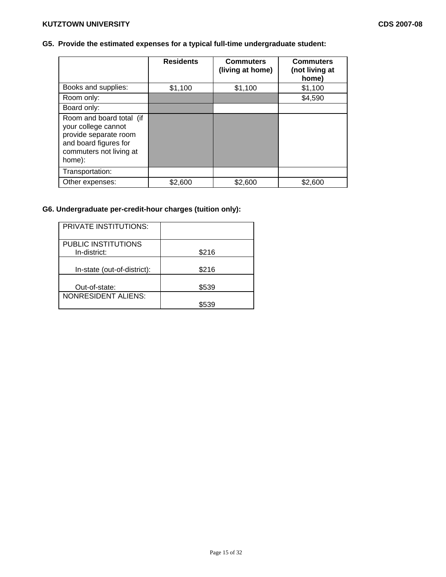# **G5. Provide the estimated expenses for a typical full-time undergraduate student:**

|                                                                                                                                        | <b>Residents</b> | <b>Commuters</b><br>(living at home) | <b>Commuters</b><br>(not living at<br>home) |
|----------------------------------------------------------------------------------------------------------------------------------------|------------------|--------------------------------------|---------------------------------------------|
| Books and supplies:                                                                                                                    | \$1,100          | \$1,100                              | \$1,100                                     |
| Room only:                                                                                                                             |                  |                                      | \$4,590                                     |
| Board only:                                                                                                                            |                  |                                      |                                             |
| Room and board total (if<br>your college cannot<br>provide separate room<br>and board figures for<br>commuters not living at<br>home): |                  |                                      |                                             |
| Transportation:                                                                                                                        |                  |                                      |                                             |
| Other expenses:                                                                                                                        | \$2,600          | \$2,600                              | \$2,600                                     |

# **G6. Undergraduate per-credit-hour charges (tuition only):**

| <b>PRIVATE INSTITUTIONS:</b>        |       |
|-------------------------------------|-------|
| PUBLIC INSTITUTIONS<br>In-district: | \$216 |
| In-state (out-of-district):         | \$216 |
| Out-of-state:                       | \$539 |
| <b>NONRESIDENT ALIENS:</b>          |       |
|                                     | \$539 |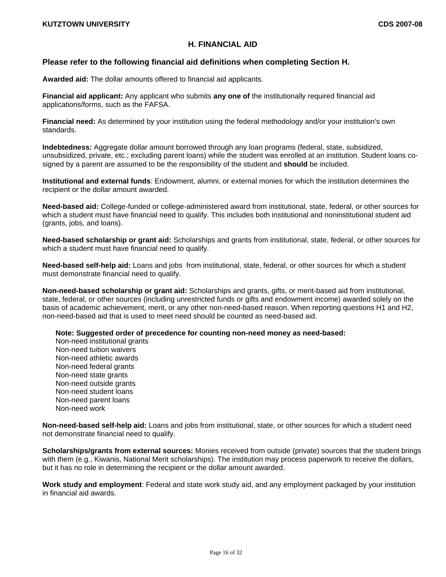# **H. FINANCIAL AID**

# **Please refer to the following financial aid definitions when completing Section H.**

**Awarded aid:** The dollar amounts offered to financial aid applicants.

**Financial aid applicant:** Any applicant who submits **any one of** the institutionally required financial aid applications/forms, such as the FAFSA.

**Financial need:** As determined by your institution using the federal methodology and/or your institution's own standards.

**Indebtedness:** Aggregate dollar amount borrowed through any loan programs (federal, state, subsidized, unsubsidized, private, etc.; excluding parent loans) while the student was enrolled at an institution. Student loans cosigned by a parent are assumed to be the responsibility of the student and **should** be included.

**Institutional and external funds**: Endowment, alumni, or external monies for which the institution determines the recipient or the dollar amount awarded.

**Need-based aid:** College-funded or college-administered award from institutional, state, federal, or other sources for which a student must have financial need to qualify. This includes both institutional and noninstitutional student aid (grants, jobs, and loans).

**Need-based scholarship or grant aid:** Scholarships and grants from institutional, state, federal, or other sources for which a student must have financial need to qualify.

**Need-based self-help aid:** Loans and jobs from institutional, state, federal, or other sources for which a student must demonstrate financial need to qualify.

**Non-need-based scholarship or grant aid:** Scholarships and grants, gifts, or merit-based aid from institutional, state, federal, or other sources (including unrestricted funds or gifts and endowment income) awarded solely on the basis of academic achievement, merit, or any other non-need-based reason. When reporting questions H1 and H2, non-need-based aid that is used to meet need should be counted as need-based aid.

**Note: Suggested order of precedence for counting non-need money as need-based:** 

Non-need institutional grants Non-need tuition waivers Non-need athletic awards Non-need federal grants Non-need state grants Non-need outside grants Non-need student loans Non-need parent loans Non-need work

**Non-need-based self-help aid:** Loans and jobs from institutional, state, or other sources for which a student need not demonstrate financial need to qualify.

**Scholarships/grants from external sources:** Monies received from outside (private) sources that the student brings with them (e.g., Kiwanis, National Merit scholarships). The institution may process paperwork to receive the dollars, but it has no role in determining the recipient or the dollar amount awarded.

**Work study and employment**: Federal and state work study aid, and any employment packaged by your institution in financial aid awards.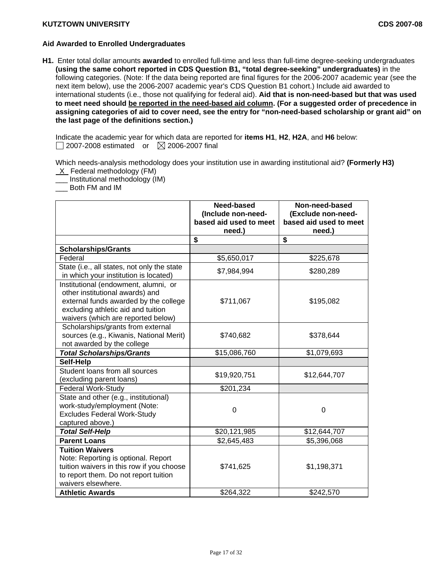## **Aid Awarded to Enrolled Undergraduates**

**H1.** Enter total dollar amounts **awarded** to enrolled full-time and less than full-time degree-seeking undergraduates **(using the same cohort reported in CDS Question B1, "total degree-seeking" undergraduates)** in the following categories. (Note: If the data being reported are final figures for the 2006-2007 academic year (see the next item below), use the 2006-2007 academic year's CDS Question B1 cohort.) Include aid awarded to international students (i.e., those not qualifying for federal aid). **Aid that is non-need-based but that was used to meet need should be reported in the need-based aid column. (For a suggested order of precedence in assigning categories of aid to cover need, see the entry for "non-need-based scholarship or grant aid" on the last page of the definitions section.)** 

Indicate the academic year for which data are reported for **items H1**, **H2**, **H2A**, and **H6** below:  $\Box$  2007-2008 estimated or  $\boxtimes$  2006-2007 final

Which needs-analysis methodology does your institution use in awarding institutional aid? **(Formerly H3)**  X Federal methodology (FM)

\_\_\_ Institutional methodology (IM)

\_\_\_ Both FM and IM

|                                                                                                                                                                                              | Need-based<br>(Include non-need-<br>based aid used to meet<br>need.) | Non-need-based<br>(Exclude non-need-<br>based aid used to meet<br>need.) |
|----------------------------------------------------------------------------------------------------------------------------------------------------------------------------------------------|----------------------------------------------------------------------|--------------------------------------------------------------------------|
|                                                                                                                                                                                              | \$                                                                   | \$                                                                       |
| <b>Scholarships/Grants</b>                                                                                                                                                                   |                                                                      |                                                                          |
| Federal                                                                                                                                                                                      | \$5,650,017                                                          | \$225,678                                                                |
| State (i.e., all states, not only the state<br>in which your institution is located)                                                                                                         | \$7,984,994                                                          | \$280,289                                                                |
| Institutional (endowment, alumni, or<br>other institutional awards) and<br>external funds awarded by the college<br>excluding athletic aid and tuition<br>waivers (which are reported below) | \$711,067                                                            | \$195,082                                                                |
| Scholarships/grants from external<br>sources (e.g., Kiwanis, National Merit)<br>not awarded by the college                                                                                   | \$740,682                                                            | \$378,644                                                                |
| <b>Total Scholarships/Grants</b>                                                                                                                                                             | \$15,086,760                                                         | \$1,079,693                                                              |
| Self-Help                                                                                                                                                                                    |                                                                      |                                                                          |
| Student loans from all sources<br>(excluding parent loans)                                                                                                                                   | \$19,920,751                                                         | \$12,644,707                                                             |
| <b>Federal Work-Study</b>                                                                                                                                                                    | \$201,234                                                            |                                                                          |
| State and other (e.g., institutional)<br>work-study/employment (Note:<br><b>Excludes Federal Work-Study</b><br>captured above.)                                                              | $\mathbf 0$                                                          | 0                                                                        |
| <b>Total Self-Help</b>                                                                                                                                                                       | \$20,121,985                                                         | \$12,644,707                                                             |
| <b>Parent Loans</b>                                                                                                                                                                          | \$2,645,483                                                          | \$5,396,068                                                              |
| <b>Tuition Waivers</b><br>Note: Reporting is optional. Report<br>tuition waivers in this row if you choose<br>to report them. Do not report tuition<br>waivers elsewhere.                    | \$741,625                                                            | \$1,198,371                                                              |
| <b>Athletic Awards</b>                                                                                                                                                                       | \$264,322                                                            | \$242,570                                                                |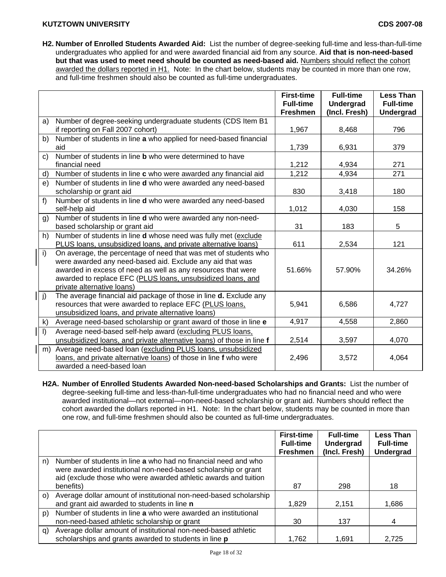**H2. Number of Enrolled Students Awarded Aid:** List the number of degree-seeking full-time and less-than-full-time undergraduates who applied for and were awarded financial aid from any source. **Aid that is non-need-based but that was used to meet need should be counted as need-based aid.** Numbers should reflect the cohort awarded the dollars reported in H1. Note: In the chart below, students may be counted in more than one row, and full-time freshmen should also be counted as full-time undergraduates.

|    |                                                                                                                                                                                                                                                                                           | <b>First-time</b><br><b>Full-time</b><br><b>Freshmen</b> | <b>Full-time</b><br><b>Undergrad</b><br>(Incl. Fresh) | <b>Less Than</b><br><b>Full-time</b><br><b>Undergrad</b> |
|----|-------------------------------------------------------------------------------------------------------------------------------------------------------------------------------------------------------------------------------------------------------------------------------------------|----------------------------------------------------------|-------------------------------------------------------|----------------------------------------------------------|
| a) | Number of degree-seeking undergraduate students (CDS Item B1                                                                                                                                                                                                                              |                                                          |                                                       |                                                          |
|    | if reporting on Fall 2007 cohort)                                                                                                                                                                                                                                                         | 1,967                                                    | 8,468                                                 | 796                                                      |
| b) | Number of students in line a who applied for need-based financial                                                                                                                                                                                                                         |                                                          |                                                       |                                                          |
|    | aid                                                                                                                                                                                                                                                                                       | 1,739                                                    | 6,931                                                 | 379                                                      |
| C) | Number of students in line <b>b</b> who were determined to have                                                                                                                                                                                                                           |                                                          |                                                       |                                                          |
|    | financial need                                                                                                                                                                                                                                                                            | 1,212                                                    | 4,934                                                 | 271                                                      |
| d) | Number of students in line c who were awarded any financial aid                                                                                                                                                                                                                           | 1,212                                                    | 4,934                                                 | 271                                                      |
| e) | Number of students in line <b>d</b> who were awarded any need-based                                                                                                                                                                                                                       |                                                          |                                                       |                                                          |
|    | scholarship or grant aid                                                                                                                                                                                                                                                                  | 830                                                      | 3,418                                                 | 180                                                      |
| f  | Number of students in line d who were awarded any need-based                                                                                                                                                                                                                              |                                                          |                                                       |                                                          |
|    | self-help aid                                                                                                                                                                                                                                                                             | 1,012                                                    | 4,030                                                 | 158                                                      |
| g) | Number of students in line d who were awarded any non-need-                                                                                                                                                                                                                               |                                                          |                                                       |                                                          |
|    | based scholarship or grant aid                                                                                                                                                                                                                                                            | 31                                                       | 183                                                   | 5                                                        |
| h) | Number of students in line <b>d</b> whose need was fully met (exclude                                                                                                                                                                                                                     |                                                          |                                                       |                                                          |
|    | PLUS loans, unsubsidized loans, and private alternative loans)                                                                                                                                                                                                                            | 611                                                      | 2,534                                                 | 121                                                      |
| i) | On average, the percentage of need that was met of students who<br>were awarded any need-based aid. Exclude any aid that was<br>awarded in excess of need as well as any resources that were<br>awarded to replace EFC (PLUS loans, unsubsidized loans, and<br>private alternative loans) | 51.66%                                                   | 57.90%                                                | 34.26%                                                   |
| j) | The average financial aid package of those in line <b>d.</b> Exclude any<br>resources that were awarded to replace EFC (PLUS loans,<br>unsubsidized loans, and private alternative loans)                                                                                                 | 5,941                                                    | 6,586                                                 | 4,727                                                    |
| k) | Average need-based scholarship or grant award of those in line e                                                                                                                                                                                                                          | 4,917                                                    | 4,558                                                 | 2,860                                                    |
| I) | Average need-based self-help award (excluding PLUS loans,                                                                                                                                                                                                                                 |                                                          |                                                       |                                                          |
|    | unsubsidized loans, and private alternative loans) of those in line f                                                                                                                                                                                                                     | 2,514                                                    | 3,597                                                 | 4,070                                                    |
| m) | Average need-based loan (excluding PLUS loans, unsubsidized<br>loans, and private alternative loans) of those in line f who were<br>awarded a need-based loan                                                                                                                             | 2,496                                                    | 3,572                                                 | 4,064                                                    |

**H2A. Number of Enrolled Students Awarded Non-need-based Scholarships and Grants:** List the number of degree-seeking full-time and less-than-full-time undergraduates who had no financial need and who were awarded institutional—not external—non-need-based scholarship or grant aid. Numbers should reflect the cohort awarded the dollars reported in H1. Note: In the chart below, students may be counted in more than one row, and full-time freshmen should also be counted as full-time undergraduates.

|    |                                                                                                                                                                                                     | <b>First-time</b><br><b>Full-time</b> | <b>Full-time</b><br><b>Undergrad</b> | <b>Less Than</b><br><b>Full-time</b> |
|----|-----------------------------------------------------------------------------------------------------------------------------------------------------------------------------------------------------|---------------------------------------|--------------------------------------|--------------------------------------|
|    |                                                                                                                                                                                                     | <b>Freshmen</b>                       | (Incl. Fresh)                        | <b>Undergrad</b>                     |
| n) | Number of students in line a who had no financial need and who<br>were awarded institutional non-need-based scholarship or grant<br>aid (exclude those who were awarded athletic awards and tuition |                                       |                                      |                                      |
|    | benefits)                                                                                                                                                                                           | 87                                    | 298                                  | 18                                   |
| O) | Average dollar amount of institutional non-need-based scholarship<br>and grant aid awarded to students in line n                                                                                    | 1,829                                 | 2,151                                | 1,686                                |
| p) | Number of students in line a who were awarded an institutional                                                                                                                                      |                                       |                                      |                                      |
|    | non-need-based athletic scholarship or grant                                                                                                                                                        | 30                                    | 137                                  | 4                                    |
| q) | Average dollar amount of institutional non-need-based athletic<br>scholarships and grants awarded to students in line p                                                                             | 1,762                                 | 1,691                                | 2.725                                |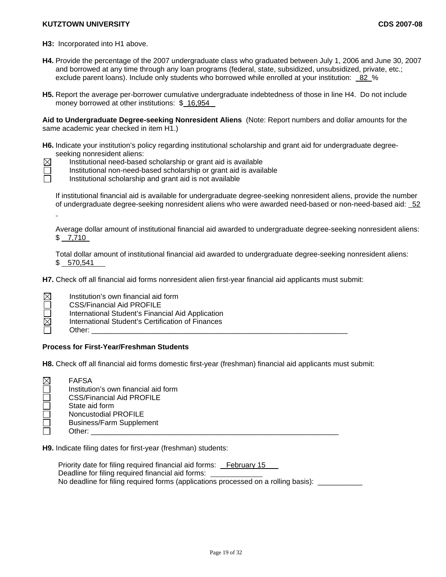- **H3:** Incorporated into H1 above.
- **H4.** Provide the percentage of the 2007 undergraduate class who graduated between July 1, 2006 and June 30, 2007 and borrowed at any time through any loan programs (federal, state, subsidized, unsubsidized, private, etc.; exclude parent loans). Include only students who borrowed while enrolled at your institution: 82 %
- **H5.** Report the average per-borrower cumulative undergraduate indebtedness of those in line H4. Do not include money borrowed at other institutions: \$ 16,954

**Aid to Undergraduate Degree-seeking Nonresident Aliens** (Note: Report numbers and dollar amounts for the same academic year checked in item H1.)

**H6.** Indicate your institution's policy regarding institutional scholarship and grant aid for undergraduate degreeseeking nonresident aliens:



Institutional need-based scholarship or grant aid is available

Institutional non-need-based scholarship or grant aid is available

Institutional scholarship and grant aid is not available

If institutional financial aid is available for undergraduate degree-seeking nonresident aliens, provide the number of undergraduate degree-seeking nonresident aliens who were awarded need-based or non-need-based aid: 52

Average dollar amount of institutional financial aid awarded to undergraduate degree-seeking nonresident aliens: \$ 7,710

Total dollar amount of institutional financial aid awarded to undergraduate degree-seeking nonresident aliens: \$ 570,541

**H7.** Check off all financial aid forms nonresident alien first-year financial aid applicants must submit:

 $\boxtimes$  Institution's own financial aid form CSS/Financial Aid PROFILE International Student's Financial Aid Application International Student's Certification of Finances Other: \_\_\_\_\_\_\_\_\_\_\_\_\_\_\_\_\_\_\_\_\_\_\_\_\_\_\_\_\_\_\_\_\_\_\_\_\_\_\_\_\_\_\_\_\_\_\_\_\_\_\_\_\_\_\_\_\_\_\_\_\_\_\_

## **Process for First-Year/Freshman Students**

**H8.** Check off all financial aid forms domestic first-year (freshman) financial aid applicants must submit:

| $\boxtimes$ | <b>FAFSA</b>                         |
|-------------|--------------------------------------|
|             | Institution's own financial aid form |
|             | <b>CSS/Financial Aid PROFILE</b>     |
|             | State aid form                       |
|             | Noncustodial PROFILE                 |
|             | <b>Business/Farm Supplement</b>      |
|             | Other:                               |
|             |                                      |

**H9.** Indicate filing dates for first-year (freshman) students:

Priority date for filing required financial aid forms: February 15 Deadline for filing required financial aid forms: No deadline for filing required forms (applications processed on a rolling basis):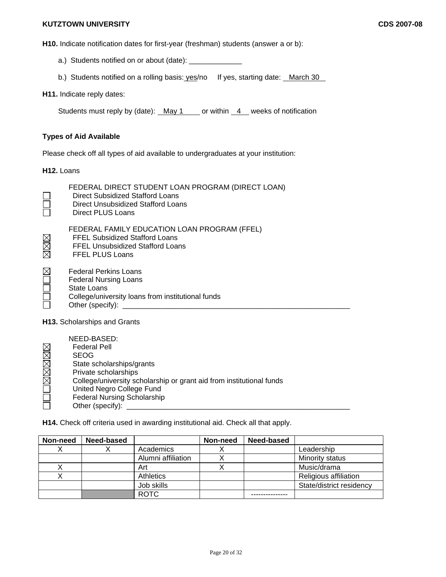**H10.** Indicate notification dates for first-year (freshman) students (answer a or b):

- a.) Students notified on or about (date): \_\_\_\_\_\_\_\_\_\_\_\_\_
- b.) Students notified on a rolling basis: yes/no If yes, starting date: March 30

**H11.** Indicate reply dates:

Students must reply by (date):  $\frac{May\ 1}{$  or within  $\frac{4}{1}$  weeks of notification

### **Types of Aid Available**

Please check off all types of aid available to undergraduates at your institution:

**H12.** Loans

 $\mathbb{X}$ 

 $\Box$ 

 Direct Subsidized Stafford Loans Direct Unsubsidized Stafford Loans Direct PLUS Loans FEDERAL FAMILY EDUCATION LOAN PROGRAM (FFEL)<br>
FFEL Subsidized Stafford Loans<br>
FFEL Unsubsidized Stafford Loans<br>
FFEL PLUS Loans FFEL Subsidized Stafford Loans FFEL Unsubsidized Stafford Loans FFEL PLUS Loans Federal Perkins Loans Federal Nursing Loans State Loans College/university loans from institutional funds

FEDERAL DIRECT STUDENT LOAN PROGRAM (DIRECT LOAN)

Ē Other (specify): \_\_\_\_\_\_\_\_\_\_\_\_\_\_\_\_\_\_\_\_\_\_\_\_\_\_\_\_\_\_\_\_\_\_\_\_\_\_\_\_\_\_\_\_\_\_\_\_\_\_\_\_\_\_\_\_

**H13.** Scholarships and Grants

|        | NEED-BASED:                                                          |
|--------|----------------------------------------------------------------------|
|        | <b>Federal Pell</b>                                                  |
|        | <b>SEOG</b>                                                          |
| OMMMMM | State scholarships/grants                                            |
|        | Private scholarships                                                 |
|        | College/university scholarship or grant aid from institutional funds |
|        | United Negro College Fund                                            |
| $\Box$ | <b>Federal Nursing Scholarship</b>                                   |
|        | Other (specify):                                                     |

**H14.** Check off criteria used in awarding institutional aid. Check all that apply.

| Non-need | Need-based |                    | Non-need | <b>Need-based</b> |                          |
|----------|------------|--------------------|----------|-------------------|--------------------------|
|          |            | Academics          |          |                   | Leadership               |
|          |            | Alumni affiliation |          |                   | Minority status          |
|          |            | Art                |          |                   | Music/drama              |
|          |            | <b>Athletics</b>   |          |                   | Religious affiliation    |
|          |            | Job skills         |          |                   | State/district residency |
|          |            | <b>ROTC</b>        |          |                   |                          |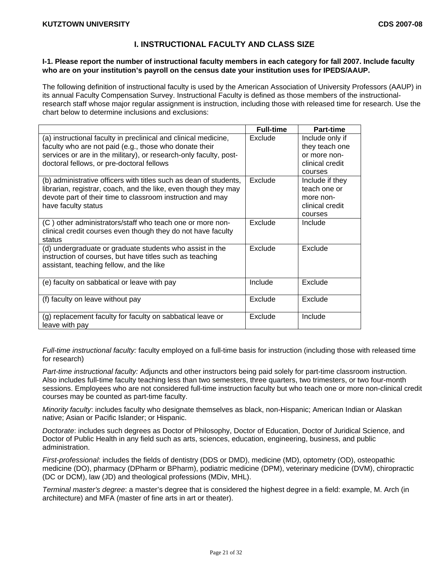# **I. INSTRUCTIONAL FACULTY AND CLASS SIZE**

### **I-1. Please report the number of instructional faculty members in each category for fall 2007. Include faculty who are on your institution's payroll on the census date your institution uses for IPEDS/AAUP.**

The following definition of instructional faculty is used by the American Association of University Professors (AAUP) in its annual Faculty Compensation Survey. Instructional Faculty is defined as those members of the instructionalresearch staff whose major regular assignment is instruction, including those with released time for research. Use the chart below to determine inclusions and exclusions:

|                                                                                                                                                                                                                                             | <b>Full-time</b> | <b>Part-time</b>                                                                |
|---------------------------------------------------------------------------------------------------------------------------------------------------------------------------------------------------------------------------------------------|------------------|---------------------------------------------------------------------------------|
| (a) instructional faculty in preclinical and clinical medicine,<br>faculty who are not paid (e.g., those who donate their<br>services or are in the military), or research-only faculty, post-<br>doctoral fellows, or pre-doctoral fellows | Exclude          | Include only if<br>they teach one<br>or more non-<br>clinical credit<br>courses |
| (b) administrative officers with titles such as dean of students,<br>librarian, registrar, coach, and the like, even though they may<br>devote part of their time to classroom instruction and may<br>have faculty status                   | Exclude          | Include if they<br>teach one or<br>more non-<br>clinical credit<br>courses      |
| (C) other administrators/staff who teach one or more non-<br>clinical credit courses even though they do not have faculty<br>status                                                                                                         | Exclude          | Include                                                                         |
| (d) undergraduate or graduate students who assist in the<br>instruction of courses, but have titles such as teaching<br>assistant, teaching fellow, and the like                                                                            | Exclude          | Exclude                                                                         |
| (e) faculty on sabbatical or leave with pay                                                                                                                                                                                                 | Include          | Exclude                                                                         |
| (f) faculty on leave without pay                                                                                                                                                                                                            | Exclude          | Exclude                                                                         |
| (g) replacement faculty for faculty on sabbatical leave or<br>leave with pay                                                                                                                                                                | Exclude          | Include                                                                         |

*Full-time instructional faculty:* faculty employed on a full-time basis for instruction (including those with released time for research)

*Part-time instructional faculty:* Adjuncts and other instructors being paid solely for part-time classroom instruction. Also includes full-time faculty teaching less than two semesters, three quarters, two trimesters, or two four-month sessions. Employees who are not considered full-time instruction faculty but who teach one or more non-clinical credit courses may be counted as part-time faculty.

*Minority faculty*: includes faculty who designate themselves as black, non-Hispanic; American Indian or Alaskan native; Asian or Pacific Islander; or Hispanic.

*Doctorate*: includes such degrees as Doctor of Philosophy, Doctor of Education, Doctor of Juridical Science, and Doctor of Public Health in any field such as arts, sciences, education, engineering, business, and public administration.

*First-professional*: includes the fields of dentistry (DDS or DMD), medicine (MD), optometry (OD), osteopathic medicine (DO), pharmacy (DPharm or BPharm), podiatric medicine (DPM), veterinary medicine (DVM), chiropractic (DC or DCM), law (JD) and theological professions (MDiv, MHL).

*Terminal master's degree*: a master's degree that is considered the highest degree in a field: example, M. Arch (in architecture) and MFA (master of fine arts in art or theater).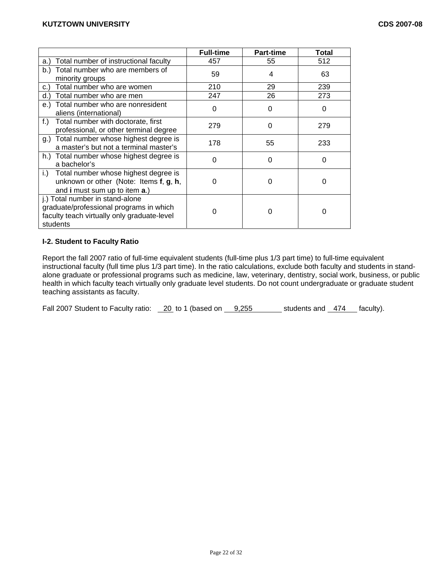|                                                                                                                                       | <b>Full-time</b> | <b>Part-time</b> | Total |
|---------------------------------------------------------------------------------------------------------------------------------------|------------------|------------------|-------|
| Total number of instructional faculty<br>a.)                                                                                          | 457              | 55               | 512   |
| Total number who are members of<br>b.)<br>minority groups                                                                             | 59               | 4                | 63    |
| Total number who are women<br>c.)                                                                                                     | 210              | 29               | 239   |
| Total number who are men<br>d.)                                                                                                       | 247              | 26               | 273   |
| Total number who are nonresident<br>e.)<br>aliens (international)                                                                     | 0                | O                | 0     |
| Total number with doctorate, first<br>f.)<br>professional, or other terminal degree                                                   | 279              | 0                | 279   |
| Total number whose highest degree is<br>g.)<br>a master's but not a terminal master's                                                 | 178              | 55               | 233   |
| h.) Total number whose highest degree is<br>a bachelor's                                                                              | O                | 0                | 0     |
| Total number whose highest degree is<br>i.)<br>unknown or other (Note: Items f, g, h,<br>and i must sum up to item a.)                | 0                | O                | O     |
| j.) Total number in stand-alone<br>graduate/professional programs in which<br>faculty teach virtually only graduate-level<br>students |                  |                  | 0     |

# **I-2. Student to Faculty Ratio**

Report the fall 2007 ratio of full-time equivalent students (full-time plus 1/3 part time) to full-time equivalent instructional faculty (full time plus 1/3 part time). In the ratio calculations, exclude both faculty and students in standalone graduate or professional programs such as medicine, law, veterinary, dentistry, social work, business, or public health in which faculty teach virtually only graduate level students. Do not count undergraduate or graduate student teaching assistants as faculty.

Fall 2007 Student to Faculty ratio:  $\frac{20}{10}$  to 1 (based on  $\frac{9,255}{10,255}$  students and  $\frac{474}{10}$  faculty).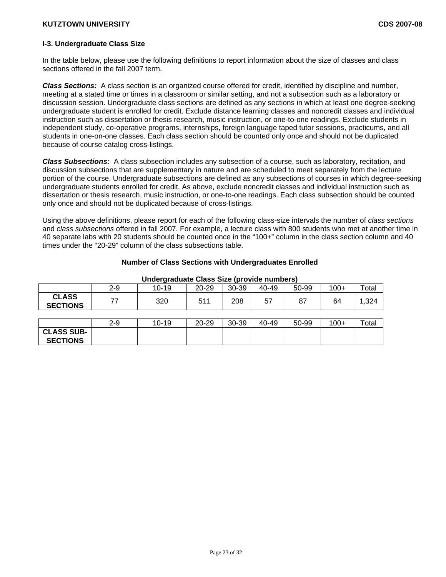**SECTIONS** 

# **I-3. Undergraduate Class Size**

In the table below, please use the following definitions to report information about the size of classes and class sections offered in the fall 2007 term.

*Class Sections:* A class section is an organized course offered for credit, identified by discipline and number, meeting at a stated time or times in a classroom or similar setting, and not a subsection such as a laboratory or discussion session. Undergraduate class sections are defined as any sections in which at least one degree-seeking undergraduate student is enrolled for credit. Exclude distance learning classes and noncredit classes and individual instruction such as dissertation or thesis research, music instruction, or one-to-one readings. Exclude students in independent study, co-operative programs, internships, foreign language taped tutor sessions, practicums, and all students in one-on-one classes. Each class section should be counted only once and should not be duplicated because of course catalog cross-listings.

*Class Subsections:* A class subsection includes any subsection of a course, such as laboratory, recitation, and discussion subsections that are supplementary in nature and are scheduled to meet separately from the lecture portion of the course. Undergraduate subsections are defined as any subsections of courses in which degree-seeking undergraduate students enrolled for credit. As above, exclude noncredit classes and individual instruction such as dissertation or thesis research, music instruction, or one-to-one readings. Each class subsection should be counted only once and should not be duplicated because of cross-listings.

Using the above definitions, please report for each of the following class-size intervals the number of *class sections* and *class subsections* offered in fall 2007. For example, a lecture class with 800 students who met at another time in 40 separate labs with 20 students should be counted once in the "100+" column in the class section column and 40 times under the "20-29" column of the class subsections table.

### **Number of Class Sections with Undergraduates Enrolled**

|                                 | $2 - 9$ | 10-19 | $20 - 29$ | 30-39 | 40-49 | 50-99 | $100+$ | Total |
|---------------------------------|---------|-------|-----------|-------|-------|-------|--------|-------|
| <b>CLASS</b><br><b>SECTIONS</b> | 77      | 320   | 511       | 208   | 57    | 87    | 64     | ,324  |
|                                 |         |       |           |       |       |       |        |       |
|                                 | $2 - 9$ | 10-19 | 20-29     | 30-39 | 40-49 | 50-99 | $100+$ | Total |
| <b>CLASS SUB-</b>               |         |       |           |       |       |       |        |       |

#### **Undergraduate Class Size (provide numbers)**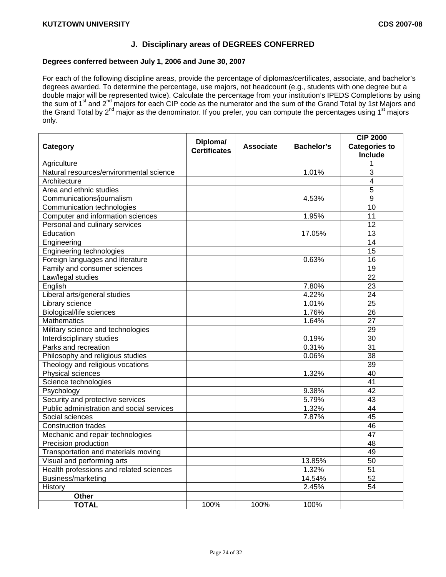# **J. Disciplinary areas of DEGREES CONFERRED**

# **Degrees conferred between July 1, 2006 and June 30, 2007**

For each of the following discipline areas, provide the percentage of diplomas/certificates, associate, and bachelor's degrees awarded. To determine the percentage, use majors, not headcount (e.g., students with one degree but a double major will be represented twice). Calculate the percentage from your institution's IPEDS Completions by using the sum of 1<sup>st</sup> and 2<sup>nd</sup> majors for each CIP code as the numerator and the sum of the Grand Total by 1st Majors and the Grand Total by 2<sup>nd</sup> major as the denominator. If you prefer, you can compute the percentages using 1<sup>st</sup> majors only.

| Category                                  | Diploma/            | <b>Associate</b> | <b>Bachelor's</b> | <b>CIP 2000</b><br><b>Categories to</b> |  |
|-------------------------------------------|---------------------|------------------|-------------------|-----------------------------------------|--|
|                                           | <b>Certificates</b> |                  |                   | <b>Include</b>                          |  |
| Agriculture                               |                     |                  |                   | 1                                       |  |
| Natural resources/environmental science   |                     |                  | 1.01%             | 3                                       |  |
| Architecture                              |                     |                  |                   | $\overline{4}$                          |  |
| Area and ethnic studies                   |                     |                  |                   | 5                                       |  |
| Communications/journalism                 |                     |                  | 4.53%             | $\overline{9}$                          |  |
| Communication technologies                |                     |                  |                   | 10                                      |  |
| Computer and information sciences         |                     |                  | 1.95%             | 11                                      |  |
| Personal and culinary services            |                     |                  |                   | 12                                      |  |
| Education                                 |                     |                  | 17.05%            | 13                                      |  |
| Engineering                               |                     |                  |                   | 14                                      |  |
| Engineering technologies                  |                     |                  |                   | 15                                      |  |
| Foreign languages and literature          |                     |                  | 0.63%             | 16                                      |  |
| Family and consumer sciences              |                     |                  |                   | 19                                      |  |
| Law/legal studies                         |                     |                  |                   | $\overline{22}$                         |  |
| English                                   |                     |                  | 7.80%             | $\overline{23}$                         |  |
| Liberal arts/general studies              |                     |                  | 4.22%             | $\overline{24}$                         |  |
| Library science                           |                     |                  | 1.01%             | $\overline{25}$                         |  |
| <b>Biological/life sciences</b>           |                     |                  | 1.76%             | $\overline{26}$                         |  |
| <b>Mathematics</b>                        |                     |                  | 1.64%             | $\overline{27}$                         |  |
| Military science and technologies         |                     |                  |                   | 29                                      |  |
| Interdisciplinary studies                 |                     |                  | 0.19%             | $\overline{30}$                         |  |
| Parks and recreation                      |                     |                  | 0.31%             | $\overline{31}$                         |  |
| Philosophy and religious studies          |                     |                  | 0.06%             | 38                                      |  |
| Theology and religious vocations          |                     |                  |                   | 39                                      |  |
| Physical sciences                         |                     |                  | 1.32%             | $\overline{40}$                         |  |
| Science technologies                      |                     |                  |                   | $\overline{41}$                         |  |
| Psychology                                |                     |                  | 9.38%             | 42                                      |  |
| Security and protective services          |                     |                  | 5.79%             | 43                                      |  |
| Public administration and social services |                     |                  | 1.32%             | $\overline{44}$                         |  |
| Social sciences                           |                     |                  | 7.87%             | $\overline{45}$                         |  |
| <b>Construction trades</b>                |                     |                  |                   | 46                                      |  |
| Mechanic and repair technologies          |                     |                  |                   | $\overline{47}$                         |  |
| Precision production                      |                     |                  |                   | 48                                      |  |
| Transportation and materials moving       |                     |                  |                   | 49                                      |  |
| Visual and performing arts                |                     |                  | 13.85%            | 50                                      |  |
| Health professions and related sciences   |                     |                  | 1.32%             | $\overline{51}$                         |  |
| Business/marketing                        |                     |                  | 14.54%            | $\overline{52}$                         |  |
| History                                   |                     |                  | 2.45%             | $\overline{54}$                         |  |
| Other                                     |                     |                  |                   |                                         |  |
| <b>TOTAL</b>                              | 100%                | 100%             | 100%              |                                         |  |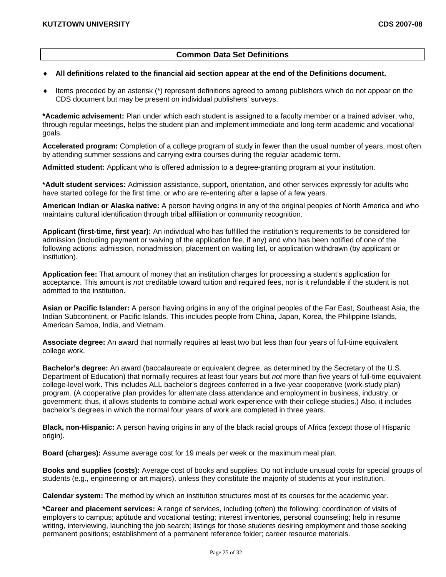# **Common Data Set Definitions**

#### ♦ **All definitions related to the financial aid section appear at the end of the Definitions document.**

Items preceded by an asterisk (\*) represent definitions agreed to among publishers which do not appear on the CDS document but may be present on individual publishers' surveys.

**\*Academic advisement:** Plan under which each student is assigned to a faculty member or a trained adviser, who, through regular meetings, helps the student plan and implement immediate and long-term academic and vocational goals.

**Accelerated program:** Completion of a college program of study in fewer than the usual number of years, most often by attending summer sessions and carrying extra courses during the regular academic term**.** 

**Admitted student:** Applicant who is offered admission to a degree-granting program at your institution.

**\*Adult student services:** Admission assistance, support, orientation, and other services expressly for adults who have started college for the first time, or who are re-entering after a lapse of a few years.

**American Indian or Alaska native:** A person having origins in any of the original peoples of North America and who maintains cultural identification through tribal affiliation or community recognition.

**Applicant (first-time, first year):** An individual who has fulfilled the institution's requirements to be considered for admission (including payment or waiving of the application fee, if any) and who has been notified of one of the following actions: admission, nonadmission, placement on waiting list, or application withdrawn (by applicant or institution).

**Application fee:** That amount of money that an institution charges for processing a student's application for acceptance. This amount is *not* creditable toward tuition and required fees, nor is it refundable if the student is not admitted to the institution.

**Asian or Pacific Islander:** A person having origins in any of the original peoples of the Far East, Southeast Asia, the Indian Subcontinent, or Pacific Islands. This includes people from China, Japan, Korea, the Philippine Islands, American Samoa, India, and Vietnam.

**Associate degree:** An award that normally requires at least two but less than four years of full-time equivalent college work.

**Bachelor's degree:** An award (baccalaureate or equivalent degree, as determined by the Secretary of the U.S. Department of Education) that normally requires at least four years but *not* more than five years of full-time equivalent college-level work. This includes ALL bachelor's degrees conferred in a five-year cooperative (work-study plan) program. (A cooperative plan provides for alternate class attendance and employment in business, industry, or government; thus, it allows students to combine actual work experience with their college studies.) Also, it includes bachelor's degrees in which the normal four years of work are completed in three years.

**Black, non-Hispanic:** A person having origins in any of the black racial groups of Africa (except those of Hispanic origin).

**Board (charges):** Assume average cost for 19 meals per week or the maximum meal plan.

**Books and supplies (costs):** Average cost of books and supplies. Do not include unusual costs for special groups of students (e.g., engineering or art majors), unless they constitute the majority of students at your institution.

**Calendar system:** The method by which an institution structures most of its courses for the academic year.

**\*Career and placement services:** A range of services, including (often) the following: coordination of visits of employers to campus; aptitude and vocational testing; interest inventories, personal counseling; help in resume writing, interviewing, launching the job search; listings for those students desiring employment and those seeking permanent positions; establishment of a permanent reference folder; career resource materials.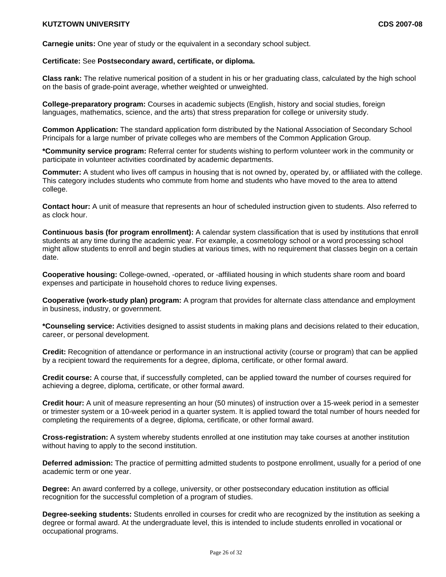**Carnegie units:** One year of study or the equivalent in a secondary school subject.

### **Certificate:** See **Postsecondary award, certificate, or diploma.**

**Class rank:** The relative numerical position of a student in his or her graduating class, calculated by the high school on the basis of grade-point average, whether weighted or unweighted.

**College-preparatory program:** Courses in academic subjects (English, history and social studies, foreign languages, mathematics, science, and the arts) that stress preparation for college or university study.

**Common Application:** The standard application form distributed by the National Association of Secondary School Principals for a large number of private colleges who are members of the Common Application Group.

**\*Community service program:** Referral center for students wishing to perform volunteer work in the community or participate in volunteer activities coordinated by academic departments.

**Commuter:** A student who lives off campus in housing that is not owned by, operated by, or affiliated with the college. This category includes students who commute from home and students who have moved to the area to attend college.

**Contact hour:** A unit of measure that represents an hour of scheduled instruction given to students. Also referred to as clock hour.

**Continuous basis (for program enrollment):** A calendar system classification that is used by institutions that enroll students at any time during the academic year. For example, a cosmetology school or a word processing school might allow students to enroll and begin studies at various times, with no requirement that classes begin on a certain date.

**Cooperative housing:** College-owned, -operated, or -affiliated housing in which students share room and board expenses and participate in household chores to reduce living expenses.

**Cooperative (work-study plan) program:** A program that provides for alternate class attendance and employment in business, industry, or government.

**\*Counseling service:** Activities designed to assist students in making plans and decisions related to their education, career, or personal development.

**Credit:** Recognition of attendance or performance in an instructional activity (course or program) that can be applied by a recipient toward the requirements for a degree, diploma, certificate, or other formal award.

**Credit course:** A course that, if successfully completed, can be applied toward the number of courses required for achieving a degree, diploma, certificate, or other formal award.

**Credit hour:** A unit of measure representing an hour (50 minutes) of instruction over a 15-week period in a semester or trimester system or a 10-week period in a quarter system. It is applied toward the total number of hours needed for completing the requirements of a degree, diploma, certificate, or other formal award.

**Cross-registration:** A system whereby students enrolled at one institution may take courses at another institution without having to apply to the second institution.

**Deferred admission:** The practice of permitting admitted students to postpone enrollment, usually for a period of one academic term or one year.

**Degree:** An award conferred by a college, university, or other postsecondary education institution as official recognition for the successful completion of a program of studies.

**Degree-seeking students:** Students enrolled in courses for credit who are recognized by the institution as seeking a degree or formal award. At the undergraduate level, this is intended to include students enrolled in vocational or occupational programs.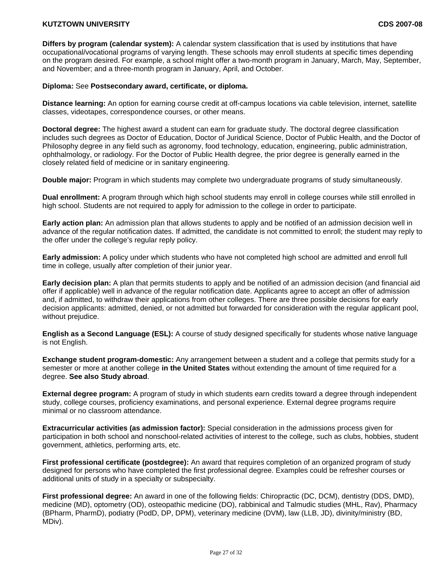**Differs by program (calendar system):** A calendar system classification that is used by institutions that have occupational/vocational programs of varying length. These schools may enroll students at specific times depending on the program desired. For example, a school might offer a two-month program in January, March, May, September, and November; and a three-month program in January, April, and October.

## **Diploma:** See **Postsecondary award, certificate, or diploma.**

**Distance learning:** An option for earning course credit at off-campus locations via cable television, internet, satellite classes, videotapes, correspondence courses, or other means.

**Doctoral degree:** The highest award a student can earn for graduate study. The doctoral degree classification includes such degrees as Doctor of Education, Doctor of Juridical Science, Doctor of Public Health, and the Doctor of Philosophy degree in any field such as agronomy, food technology, education, engineering, public administration, ophthalmology, or radiology. For the Doctor of Public Health degree, the prior degree is generally earned in the closely related field of medicine or in sanitary engineering.

**Double major:** Program in which students may complete two undergraduate programs of study simultaneously.

**Dual enrollment:** A program through which high school students may enroll in college courses while still enrolled in high school. Students are not required to apply for admission to the college in order to participate.

**Early action plan:** An admission plan that allows students to apply and be notified of an admission decision well in advance of the regular notification dates. If admitted, the candidate is not committed to enroll; the student may reply to the offer under the college's regular reply policy.

**Early admission:** A policy under which students who have not completed high school are admitted and enroll full time in college, usually after completion of their junior year.

**Early decision plan:** A plan that permits students to apply and be notified of an admission decision (and financial aid offer if applicable) well in advance of the regular notification date. Applicants agree to accept an offer of admission and, if admitted, to withdraw their applications from other colleges. There are three possible decisions for early decision applicants: admitted, denied, or not admitted but forwarded for consideration with the regular applicant pool, without prejudice.

**English as a Second Language (ESL):** A course of study designed specifically for students whose native language is not English.

**Exchange student program-domestic:** Any arrangement between a student and a college that permits study for a semester or more at another college **in the United States** without extending the amount of time required for a degree. **See also Study abroad**.

**External degree program:** A program of study in which students earn credits toward a degree through independent study, college courses, proficiency examinations, and personal experience. External degree programs require minimal or no classroom attendance.

**Extracurricular activities (as admission factor):** Special consideration in the admissions process given for participation in both school and nonschool-related activities of interest to the college, such as clubs, hobbies, student government, athletics, performing arts, etc.

**First professional certificate (postdegree):** An award that requires completion of an organized program of study designed for persons who have completed the first professional degree. Examples could be refresher courses or additional units of study in a specialty or subspecialty.

**First professional degree:** An award in one of the following fields: Chiropractic (DC, DCM), dentistry (DDS, DMD), medicine (MD), optometry (OD), osteopathic medicine (DO), rabbinical and Talmudic studies (MHL, Rav), Pharmacy (BPharm, PharmD), podiatry (PodD, DP, DPM), veterinary medicine (DVM), law (LLB, JD), divinity/ministry (BD, MDiv).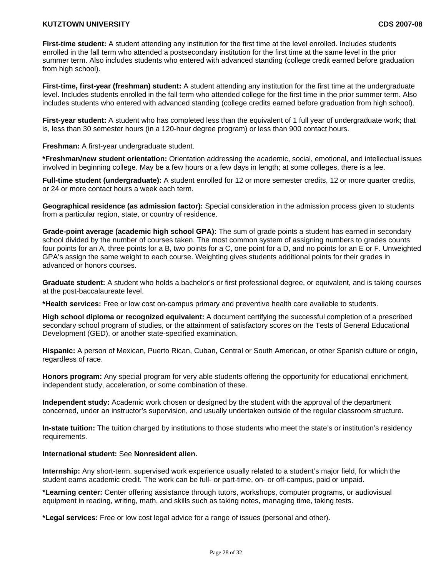**First-time student:** A student attending any institution for the first time at the level enrolled. Includes students enrolled in the fall term who attended a postsecondary institution for the first time at the same level in the prior summer term. Also includes students who entered with advanced standing (college credit earned before graduation from high school).

**First-time, first-year (freshman) student:** A student attending any institution for the first time at the undergraduate level. Includes students enrolled in the fall term who attended college for the first time in the prior summer term. Also includes students who entered with advanced standing (college credits earned before graduation from high school).

**First-year student:** A student who has completed less than the equivalent of 1 full year of undergraduate work; that is, less than 30 semester hours (in a 120-hour degree program) or less than 900 contact hours.

**Freshman:** A first-year undergraduate student.

**\*Freshman/new student orientation:** Orientation addressing the academic, social, emotional, and intellectual issues involved in beginning college. May be a few hours or a few days in length; at some colleges, there is a fee.

**Full-time student (undergraduate):** A student enrolled for 12 or more semester credits, 12 or more quarter credits, or 24 or more contact hours a week each term.

**Geographical residence (as admission factor):** Special consideration in the admission process given to students from a particular region, state, or country of residence.

**Grade-point average (academic high school GPA):** The sum of grade points a student has earned in secondary school divided by the number of courses taken. The most common system of assigning numbers to grades counts four points for an A, three points for a B, two points for a C, one point for a D, and no points for an E or F. Unweighted GPA's assign the same weight to each course. Weighting gives students additional points for their grades in advanced or honors courses.

**Graduate student:** A student who holds a bachelor's or first professional degree, or equivalent, and is taking courses at the post-baccalaureate level.

**\*Health services:** Free or low cost on-campus primary and preventive health care available to students.

**High school diploma or recognized equivalent:** A document certifying the successful completion of a prescribed secondary school program of studies, or the attainment of satisfactory scores on the Tests of General Educational Development (GED), or another state-specified examination.

**Hispanic:** A person of Mexican, Puerto Rican, Cuban, Central or South American, or other Spanish culture or origin, regardless of race.

**Honors program:** Any special program for very able students offering the opportunity for educational enrichment, independent study, acceleration, or some combination of these.

**Independent study:** Academic work chosen or designed by the student with the approval of the department concerned, under an instructor's supervision, and usually undertaken outside of the regular classroom structure.

**In-state tuition:** The tuition charged by institutions to those students who meet the state's or institution's residency requirements.

# **International student:** See **Nonresident alien.**

**Internship:** Any short-term, supervised work experience usually related to a student's major field, for which the student earns academic credit. The work can be full- or part-time, on- or off-campus, paid or unpaid.

**\*Learning center:** Center offering assistance through tutors, workshops, computer programs, or audiovisual equipment in reading, writing, math, and skills such as taking notes, managing time, taking tests.

**\*Legal services:** Free or low cost legal advice for a range of issues (personal and other).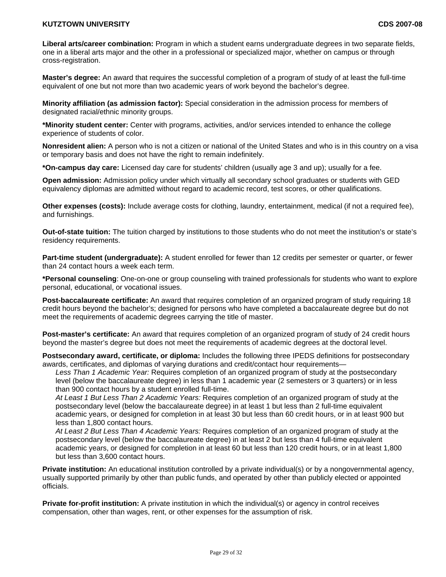**Liberal arts/career combination:** Program in which a student earns undergraduate degrees in two separate fields, one in a liberal arts major and the other in a professional or specialized major, whether on campus or through cross-registration.

**Master's degree:** An award that requires the successful completion of a program of study of at least the full-time equivalent of one but not more than two academic years of work beyond the bachelor's degree.

**Minority affiliation (as admission factor):** Special consideration in the admission process for members of designated racial/ethnic minority groups.

**\*Minority student center:** Center with programs, activities, and/or services intended to enhance the college experience of students of color.

**Nonresident alien:** A person who is not a citizen or national of the United States and who is in this country on a visa or temporary basis and does not have the right to remain indefinitely.

**\*On-campus day care:** Licensed day care for students' children (usually age 3 and up); usually for a fee.

**Open admission:** Admission policy under which virtually all secondary school graduates or students with GED equivalency diplomas are admitted without regard to academic record, test scores, or other qualifications.

**Other expenses (costs):** Include average costs for clothing, laundry, entertainment, medical (if not a required fee), and furnishings.

**Out-of-state tuition:** The tuition charged by institutions to those students who do not meet the institution's or state's residency requirements.

**Part-time student (undergraduate):** A student enrolled for fewer than 12 credits per semester or quarter, or fewer than 24 contact hours a week each term.

**\*Personal counseling**: One-on-one or group counseling with trained professionals for students who want to explore personal, educational, or vocational issues.

**Post-baccalaureate certificate:** An award that requires completion of an organized program of study requiring 18 credit hours beyond the bachelor's; designed for persons who have completed a baccalaureate degree but do not meet the requirements of academic degrees carrying the title of master.

**Post-master's certificate:** An award that requires completion of an organized program of study of 24 credit hours beyond the master's degree but does not meet the requirements of academic degrees at the doctoral level.

**Postsecondary award, certificate, or diploma:** Includes the following three IPEDS definitions for postsecondary awards, certificates, and diplomas of varying durations and credit/contact hour requirements—

*Less Than 1 Academic Year:* Requires completion of an organized program of study at the postsecondary level (below the baccalaureate degree) in less than 1 academic year (2 semesters or 3 quarters) or in less than 900 contact hours by a student enrolled full-time.

*At Least 1 But Less Than 2 Academic Years:* Requires completion of an organized program of study at the postsecondary level (below the baccalaureate degree) in at least 1 but less than 2 full-time equivalent academic years, or designed for completion in at least 30 but less than 60 credit hours, or in at least 900 but less than 1,800 contact hours.

*At Least 2 But Less Than 4 Academic Years:* Requires completion of an organized program of study at the postsecondary level (below the baccalaureate degree) in at least 2 but less than 4 full-time equivalent academic years, or designed for completion in at least 60 but less than 120 credit hours, or in at least 1,800 but less than 3,600 contact hours.

**Private institution:** An educational institution controlled by a private individual(s) or by a nongovernmental agency, usually supported primarily by other than public funds, and operated by other than publicly elected or appointed officials.

**Private for-profit institution:** A private institution in which the individual(s) or agency in control receives compensation, other than wages, rent, or other expenses for the assumption of risk.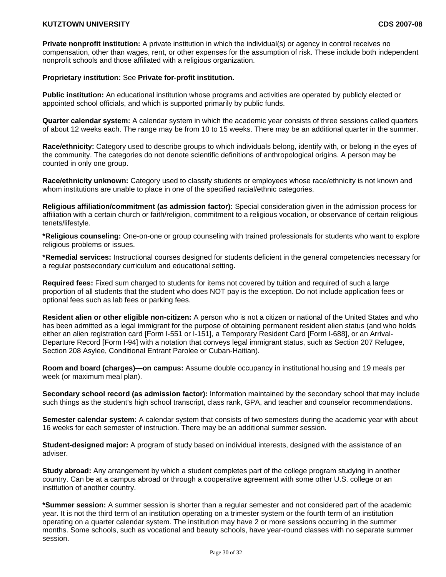**Private nonprofit institution:** A private institution in which the individual(s) or agency in control receives no compensation, other than wages, rent, or other expenses for the assumption of risk. These include both independent nonprofit schools and those affiliated with a religious organization.

#### **Proprietary institution:** See **Private for-profit institution.**

**Public institution:** An educational institution whose programs and activities are operated by publicly elected or appointed school officials, and which is supported primarily by public funds.

**Quarter calendar system:** A calendar system in which the academic year consists of three sessions called quarters of about 12 weeks each. The range may be from 10 to 15 weeks. There may be an additional quarter in the summer.

**Race/ethnicity:** Category used to describe groups to which individuals belong, identify with, or belong in the eyes of the community. The categories do not denote scientific definitions of anthropological origins. A person may be counted in only one group.

**Race/ethnicity unknown:** Category used to classify students or employees whose race/ethnicity is not known and whom institutions are unable to place in one of the specified racial/ethnic categories.

**Religious affiliation/commitment (as admission factor):** Special consideration given in the admission process for affiliation with a certain church or faith/religion, commitment to a religious vocation, or observance of certain religious tenets/lifestyle.

**\*Religious counseling:** One-on-one or group counseling with trained professionals for students who want to explore religious problems or issues.

**\*Remedial services:** Instructional courses designed for students deficient in the general competencies necessary for a regular postsecondary curriculum and educational setting.

**Required fees:** Fixed sum charged to students for items not covered by tuition and required of such a large proportion of all students that the student who does NOT pay is the exception. Do not include application fees or optional fees such as lab fees or parking fees.

**Resident alien or other eligible non-citizen:** A person who is not a citizen or national of the United States and who has been admitted as a legal immigrant for the purpose of obtaining permanent resident alien status (and who holds either an alien registration card [Form I-551 or I-151], a Temporary Resident Card [Form I-688], or an Arrival-Departure Record [Form I-94] with a notation that conveys legal immigrant status, such as Section 207 Refugee, Section 208 Asylee, Conditional Entrant Parolee or Cuban-Haitian).

**Room and board (charges)—on campus:** Assume double occupancy in institutional housing and 19 meals per week (or maximum meal plan).

**Secondary school record (as admission factor):** Information maintained by the secondary school that may include such things as the student's high school transcript, class rank, GPA, and teacher and counselor recommendations.

**Semester calendar system:** A calendar system that consists of two semesters during the academic year with about 16 weeks for each semester of instruction. There may be an additional summer session.

**Student-designed major:** A program of study based on individual interests, designed with the assistance of an adviser.

**Study abroad:** Any arrangement by which a student completes part of the college program studying in another country. Can be at a campus abroad or through a cooperative agreement with some other U.S. college or an institution of another country.

**\*Summer session:** A summer session is shorter than a regular semester and not considered part of the academic year. It is not the third term of an institution operating on a trimester system or the fourth term of an institution operating on a quarter calendar system. The institution may have 2 or more sessions occurring in the summer months. Some schools, such as vocational and beauty schools, have year-round classes with no separate summer session.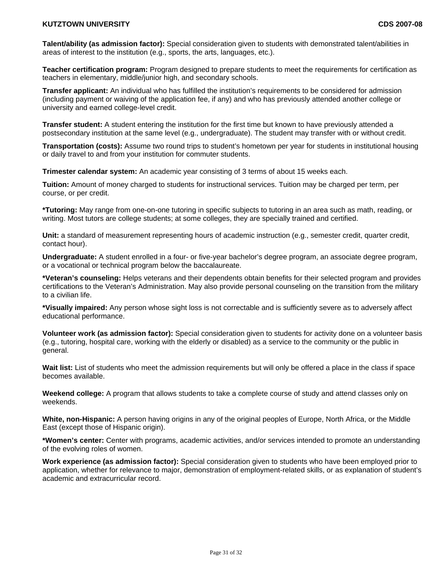**Talent/ability (as admission factor):** Special consideration given to students with demonstrated talent/abilities in areas of interest to the institution (e.g., sports, the arts, languages, etc.).

**Teacher certification program:** Program designed to prepare students to meet the requirements for certification as teachers in elementary, middle/junior high, and secondary schools.

**Transfer applicant:** An individual who has fulfilled the institution's requirements to be considered for admission (including payment or waiving of the application fee, if any) and who has previously attended another college or university and earned college-level credit.

**Transfer student:** A student entering the institution for the first time but known to have previously attended a postsecondary institution at the same level (e.g., undergraduate). The student may transfer with or without credit.

**Transportation (costs):** Assume two round trips to student's hometown per year for students in institutional housing or daily travel to and from your institution for commuter students.

**Trimester calendar system:** An academic year consisting of 3 terms of about 15 weeks each.

**Tuition:** Amount of money charged to students for instructional services. Tuition may be charged per term, per course, or per credit.

**\*Tutoring:** May range from one-on-one tutoring in specific subjects to tutoring in an area such as math, reading, or writing. Most tutors are college students; at some colleges, they are specially trained and certified.

**Unit:** a standard of measurement representing hours of academic instruction (e.g., semester credit, quarter credit, contact hour).

**Undergraduate:** A student enrolled in a four- or five-year bachelor's degree program, an associate degree program, or a vocational or technical program below the baccalaureate.

**\*Veteran's counseling:** Helps veterans and their dependents obtain benefits for their selected program and provides certifications to the Veteran's Administration. May also provide personal counseling on the transition from the military to a civilian life.

**\*Visually impaired:** Any person whose sight loss is not correctable and is sufficiently severe as to adversely affect educational performance.

**Volunteer work (as admission factor):** Special consideration given to students for activity done on a volunteer basis (e.g., tutoring, hospital care, working with the elderly or disabled) as a service to the community or the public in general.

**Wait list:** List of students who meet the admission requirements but will only be offered a place in the class if space becomes available.

**Weekend college:** A program that allows students to take a complete course of study and attend classes only on weekends.

**White, non-Hispanic:** A person having origins in any of the original peoples of Europe, North Africa, or the Middle East (except those of Hispanic origin).

**\*Women's center:** Center with programs, academic activities, and/or services intended to promote an understanding of the evolving roles of women.

**Work experience (as admission factor):** Special consideration given to students who have been employed prior to application, whether for relevance to major, demonstration of employment-related skills, or as explanation of student's academic and extracurricular record.